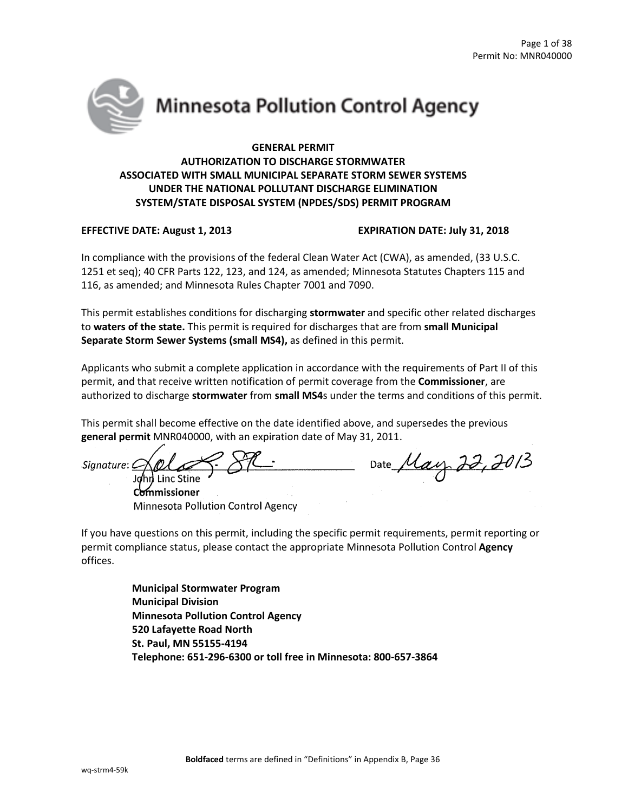

# **Minnesota Pollution Control Agency**

# **GENERAL PERMIT AUTHORIZATION TO DISCHARGE STORMWATER ASSOCIATED WITH SMALL MUNICIPAL SEPARATE STORM SEWER SYSTEMS UNDER THE NATIONAL POLLUTANT DISCHARGE ELIMINATION SYSTEM/STATE DISPOSAL SYSTEM (NPDES/SDS) PERMIT PROGRAM**

# **EFFECTIVE DATE: August 1, 2013 EXPIRATION DATE: July 31, 2018**

In compliance with the provisions of the federal Clean Water Act (CWA), as amended, (33 U.S.C. 1251 et seq); 40 CFR Parts 122, 123, and 124, as amended; Minnesota Statutes Chapters 115 and 116, as amended; and Minnesota Rules Chapter 7001 and 7090.

This permit establishes conditions for discharging **stormwater** and specific other related discharges to **waters of the state.** This permit is required for discharges that are from **small Municipal Separate Storm Sewer Systems (small MS4),** as defined in this permit.

Applicants who submit a complete application in accordance with the requirements of Part II of this permit, and that receive written notification of permit coverage from the **Commissioner**, are authorized to discharge **stormwater** from **small MS4**s under the terms and conditions of this permit.

This permit shall become effective on the date identified above, and supersedes the previous **general permit** MNR040000, with an expiration date of May 31, 2011.

 $S_{Siplature:}$   $\frac{1}{20}$   $\frac{1}{20}$   $\frac{1}{20}$   $\frac{1}{20}$   $\frac{1}{20}$   $\frac{1}{20}$   $\frac{1}{20}$   $\frac{1}{20}$   $\frac{1}{20}$   $\frac{1}{20}$   $\frac{1}{20}$   $\frac{1}{20}$   $\frac{1}{20}$   $\frac{1}{20}$   $\frac{1}{20}$   $\frac{1}{20}$   $\frac{1}{20}$   $\frac{1}{20}$   $\frac{1}{20}$  John Linc Stine **Commissioner** 

Minnesota Pollution Control Agency

If you have questions on this permit, including the specific permit requirements, permit reporting or permit compliance status, please contact the appropriate Minnesota Pollution Control **Agency** offices.

> **Municipal Stormwater Program Municipal Division Minnesota Pollution Control Agency 520 Lafayette Road North St. Paul, MN 55155-4194 Telephone: 651-296-6300 or toll free in Minnesota: 800-657-3864**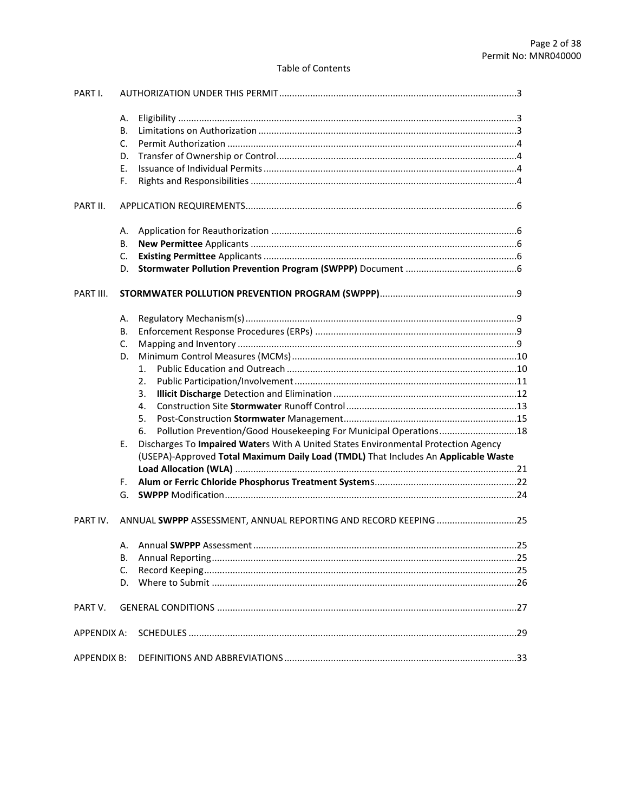# **Table of Contents**

| PART I.            |                                                                                          |     |
|--------------------|------------------------------------------------------------------------------------------|-----|
|                    | А.                                                                                       |     |
|                    | В.                                                                                       |     |
|                    | C.                                                                                       |     |
|                    | D.                                                                                       |     |
|                    | Ε.                                                                                       |     |
|                    | F.                                                                                       |     |
| PART II.           |                                                                                          |     |
|                    | А.                                                                                       |     |
|                    | В.                                                                                       |     |
|                    | $C_{\cdot}$                                                                              |     |
|                    | D.                                                                                       |     |
| PART III.          |                                                                                          |     |
|                    | А.                                                                                       |     |
|                    | В.                                                                                       |     |
|                    | C.                                                                                       |     |
|                    | D.                                                                                       |     |
|                    | 1.                                                                                       |     |
|                    | 2.                                                                                       |     |
|                    | 3.                                                                                       |     |
|                    | 4.                                                                                       |     |
|                    | 5.                                                                                       |     |
|                    | Pollution Prevention/Good Housekeeping For Municipal Operations18<br>6.                  |     |
|                    | Discharges To Impaired Waters With A United States Environmental Protection Agency<br>Е. |     |
|                    | (USEPA)-Approved Total Maximum Daily Load (TMDL) That Includes An Applicable Waste       |     |
|                    |                                                                                          |     |
|                    | F.                                                                                       |     |
|                    |                                                                                          |     |
| PART IV.           | ANNUAL SWPPP ASSESSMENT, ANNUAL REPORTING AND RECORD KEEPING 25                          |     |
|                    |                                                                                          | .25 |
|                    | В.                                                                                       |     |
|                    | C.                                                                                       |     |
|                    |                                                                                          |     |
| PART V.            |                                                                                          |     |
| <b>APPENDIX A:</b> |                                                                                          |     |
| <b>APPENDIX B:</b> |                                                                                          |     |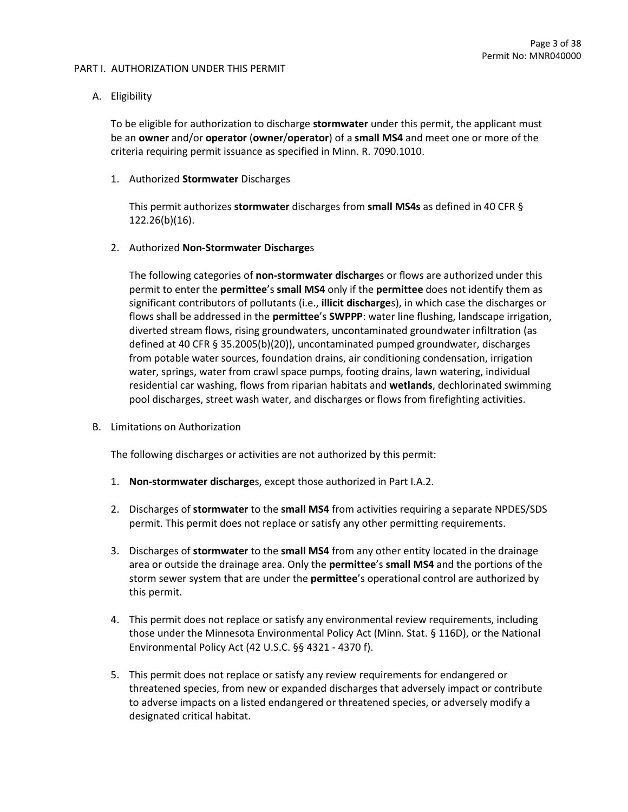#### PART I. AUTHORIZATION UNDER THIS PERMIT

# A. Eligibility

To be eligible for authorization to discharge **stormwater** under this permit, the applicant must be an **owner** and/or **operator** (**owner**/**operator**) of a **small MS4** and meet one or more of the criteria requiring permit issuance as specified in Minn. R. 7090.1010.

#### 1. Authorized **Stormwater** Discharges

This permit authorizes **stormwater** discharges from **small MS4s** as defined in 40 CFR § 122.26(b)(16).

## 2. Authorized **Non-Stormwater Discharge**s

The following categories of **non-stormwater discharge**s or flows are authorized under this permit to enter the **permittee**'s **small MS4** only if the **permittee** does not identify them as significant contributors of pollutants (i.e., **illicit discharge**s), in which case the discharges or flows shall be addressed in the **permittee**'s **SWPPP**: water line flushing, landscape irrigation, diverted stream flows, rising groundwaters, uncontaminated groundwater infiltration (as defined at 40 CFR § 35.2005(b)(20)), uncontaminated pumped groundwater, discharges from potable water sources, foundation drains, air conditioning condensation, irrigation water, springs, water from crawl space pumps, footing drains, lawn watering, individual residential car washing, flows from riparian habitats and **wetlands**, dechlorinated swimming pool discharges, street wash water, and discharges or flows from firefighting activities.

B. Limitations on Authorization

The following discharges or activities are not authorized by this permit:

- 1. **Non-stormwater discharge**s, except those authorized in Part I.A.2.
- 2. Discharges of **stormwater** to the **small MS4** from activities requiring a separate NPDES/SDS permit. This permit does not replace or satisfy any other permitting requirements.
- 3. Discharges of **stormwater** to the **small MS4** from any other entity located in the drainage area or outside the drainage area. Only the **permittee**'s **small MS4** and the portions of the storm sewer system that are under the **permittee**'s operational control are authorized by this permit.
- 4. This permit does not replace or satisfy any environmental review requirements, including those under the Minnesota Environmental Policy Act (Minn. Stat. § 116D), or the National Environmental Policy Act (42 U.S.C. §§ 4321 - 4370 f).
- 5. This permit does not replace or satisfy any review requirements for endangered or threatened species, from new or expanded discharges that adversely impact or contribute to adverse impacts on a listed endangered or threatened species, or adversely modify a designated critical habitat.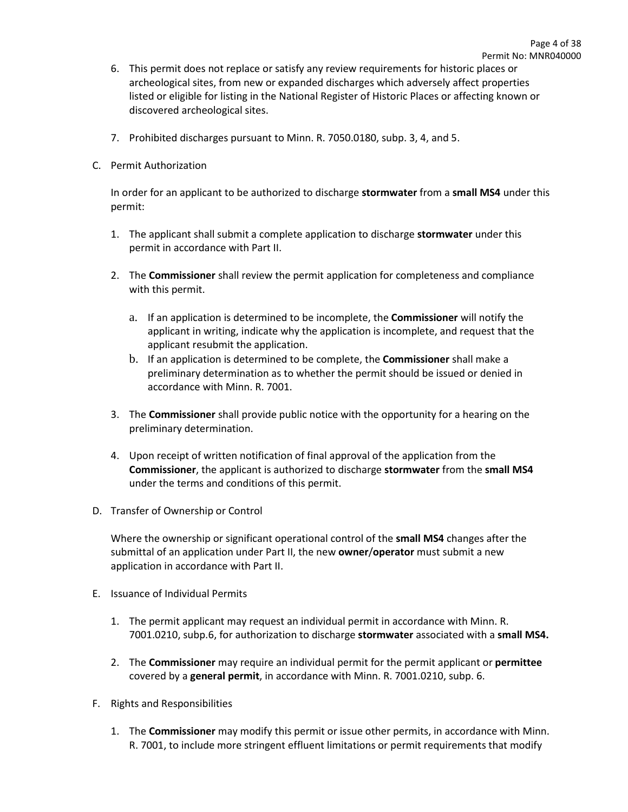- 6. This permit does not replace or satisfy any review requirements for historic places or archeological sites, from new or expanded discharges which adversely affect properties listed or eligible for listing in the National Register of Historic Places or affecting known or discovered archeological sites.
- 7. Prohibited discharges pursuant to Minn. R. 7050.0180, subp. 3, 4, and 5.
- C. Permit Authorization

In order for an applicant to be authorized to discharge **stormwater** from a **small MS4** under this permit:

- 1. The applicant shall submit a complete application to discharge **stormwater** under this permit in accordance with Part II.
- 2. The **Commissioner** shall review the permit application for completeness and compliance with this permit.
	- a. If an application is determined to be incomplete, the **Commissioner** will notify the applicant in writing, indicate why the application is incomplete, and request that the applicant resubmit the application.
	- b. If an application is determined to be complete, the **Commissioner** shall make a preliminary determination as to whether the permit should be issued or denied in accordance with Minn. R. 7001.
- 3. The **Commissioner** shall provide public notice with the opportunity for a hearing on the preliminary determination.
- 4. Upon receipt of written notification of final approval of the application from the **Commissioner**, the applicant is authorized to discharge **stormwater** from the **small MS4** under the terms and conditions of this permit.
- D. Transfer of Ownership or Control

Where the ownership or significant operational control of the **small MS4** changes after the submittal of an application under Part II, the new **owner**/**operator** must submit a new application in accordance with Part II.

- E. Issuance of Individual Permits
	- 1. The permit applicant may request an individual permit in accordance with Minn. R. 7001.0210, subp.6, for authorization to discharge **stormwater** associated with a **small MS4.**
	- 2. The **Commissioner** may require an individual permit for the permit applicant or **permittee** covered by a **general permit**, in accordance with Minn. R. 7001.0210, subp. 6.
- F. Rights and Responsibilities
	- 1. The **Commissioner** may modify this permit or issue other permits, in accordance with Minn. R. 7001, to include more stringent effluent limitations or permit requirements that modify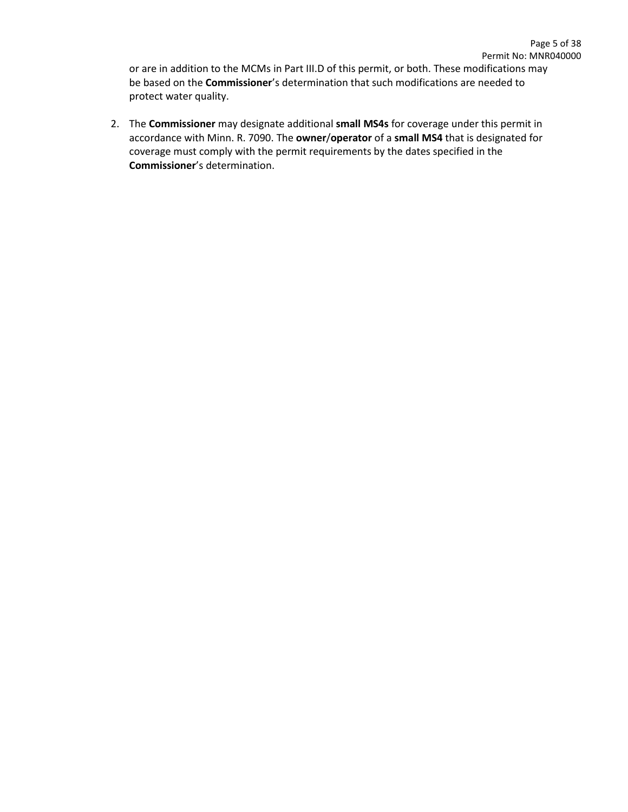or are in addition to the MCMs in Part III.D of this permit, or both. These modifications may be based on the **Commissioner**'s determination that such modifications are needed to protect water quality.

2. The **Commissioner** may designate additional **small MS4s** for coverage under this permit in accordance with Minn. R. 7090. The **owner**/**operator** of a **small MS4** that is designated for coverage must comply with the permit requirements by the dates specified in the **Commissioner**'s determination.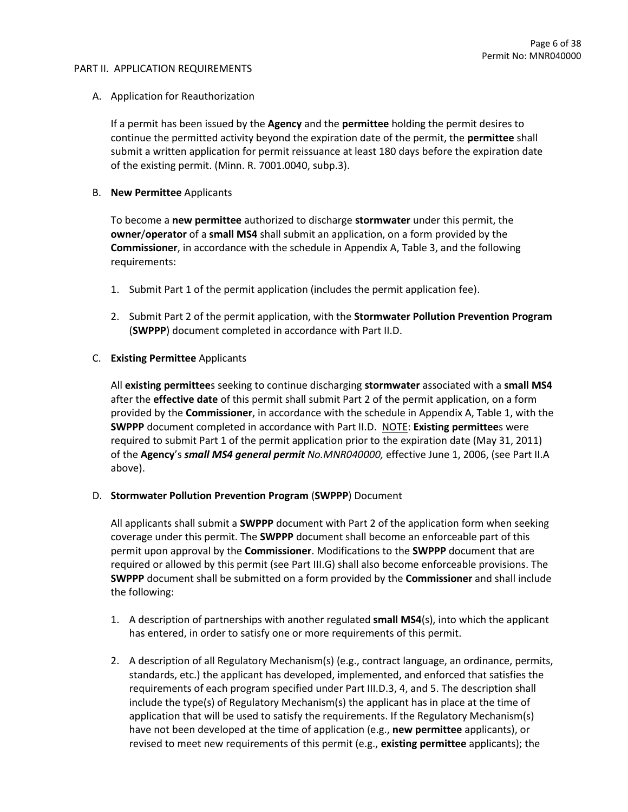#### PART II. APPLICATION REQUIREMENTS

## A. Application for Reauthorization

If a permit has been issued by the **Agency** and the **permittee** holding the permit desires to continue the permitted activity beyond the expiration date of the permit, the **permittee** shall submit a written application for permit reissuance at least 180 days before the expiration date of the existing permit. (Minn. R. 7001.0040, subp.3).

#### B. **New Permittee** Applicants

To become a **new permittee** authorized to discharge **stormwater** under this permit, the **owner**/**operator** of a **small MS4** shall submit an application, on a form provided by the **Commissioner**, in accordance with the schedule in Appendix A, Table 3, and the following requirements:

- 1. Submit Part 1 of the permit application (includes the permit application fee).
- 2. Submit Part 2 of the permit application, with the **Stormwater Pollution Prevention Program** (**SWPPP**) document completed in accordance with Part II.D.

## C. **Existing Permittee** Applicants

All **existing permittee**s seeking to continue discharging **stormwater** associated with a **small MS4** after the **effective date** of this permit shall submit Part 2 of the permit application, on a form provided by the **Commissioner**, in accordance with the schedule in Appendix A, Table 1, with the **SWPPP** document completed in accordance with Part II.D. NOTE: **Existing permittee**s were required to submit Part 1 of the permit application prior to the expiration date (May 31, 2011) of the **Agency**'s *small MS4 general permit No.MNR040000,* effective June 1, 2006, (see Part II.A above).

#### D. **Stormwater Pollution Prevention Program** (**SWPPP**) Document

All applicants shall submit a **SWPPP** document with Part 2 of the application form when seeking coverage under this permit. The **SWPPP** document shall become an enforceable part of this permit upon approval by the **Commissioner**. Modifications to the **SWPPP** document that are required or allowed by this permit (see Part III.G) shall also become enforceable provisions. The **SWPPP** document shall be submitted on a form provided by the **Commissioner** and shall include the following:

- 1. A description of partnerships with another regulated **small MS4**(s), into which the applicant has entered, in order to satisfy one or more requirements of this permit.
- 2. A description of all Regulatory Mechanism(s) (e.g., contract language, an ordinance, permits, standards, etc.) the applicant has developed, implemented, and enforced that satisfies the requirements of each program specified under Part III.D.3, 4, and 5. The description shall include the type(s) of Regulatory Mechanism(s) the applicant has in place at the time of application that will be used to satisfy the requirements. If the Regulatory Mechanism(s) have not been developed at the time of application (e.g., **new permittee** applicants), or revised to meet new requirements of this permit (e.g., **existing permittee** applicants); the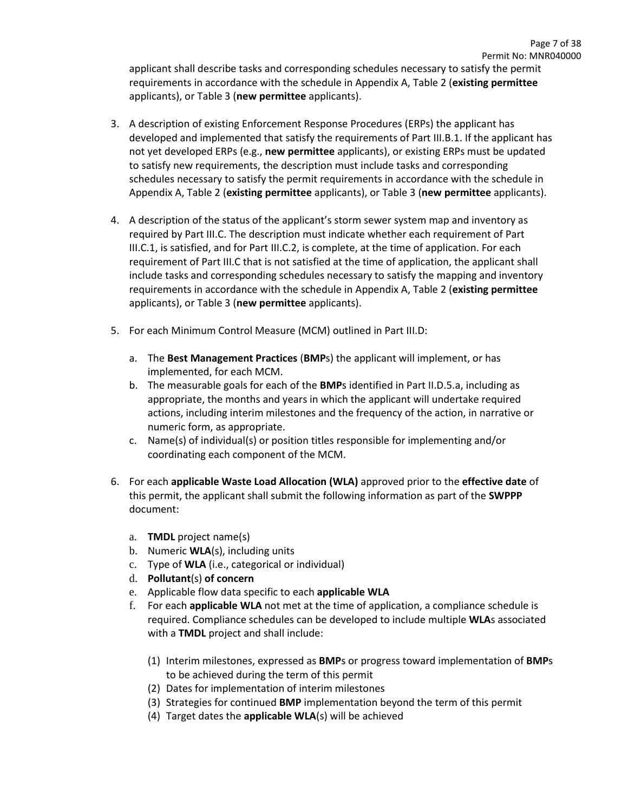applicant shall describe tasks and corresponding schedules necessary to satisfy the permit requirements in accordance with the schedule in Appendix A, Table 2 (**existing permittee** applicants), or Table 3 (**new permittee** applicants).

- 3. A description of existing Enforcement Response Procedures (ERPs) the applicant has developed and implemented that satisfy the requirements of Part III.B.1. If the applicant has not yet developed ERPs (e.g., **new permittee** applicants), or existing ERPs must be updated to satisfy new requirements, the description must include tasks and corresponding schedules necessary to satisfy the permit requirements in accordance with the schedule in Appendix A, Table 2 (**existing permittee** applicants), or Table 3 (**new permittee** applicants).
- 4. A description of the status of the applicant's storm sewer system map and inventory as required by Part III.C. The description must indicate whether each requirement of Part III.C.1, is satisfied, and for Part III.C.2, is complete, at the time of application. For each requirement of Part III.C that is not satisfied at the time of application, the applicant shall include tasks and corresponding schedules necessary to satisfy the mapping and inventory requirements in accordance with the schedule in Appendix A, Table 2 (**existing permittee** applicants), or Table 3 (**new permittee** applicants).
- 5. For each Minimum Control Measure (MCM) outlined in Part III.D:
	- a. The **Best Management Practices** (**BMP**s) the applicant will implement, or has implemented, for each MCM.
	- b. The measurable goals for each of the **BMP**s identified in Part II.D.5.a, including as appropriate, the months and years in which the applicant will undertake required actions, including interim milestones and the frequency of the action, in narrative or numeric form, as appropriate.
	- c. Name(s) of individual(s) or position titles responsible for implementing and/or coordinating each component of the MCM.
- 6. For each **applicable Waste Load Allocation (WLA)** approved prior to the **effective date** of this permit, the applicant shall submit the following information as part of the **SWPPP** document:
	- a. **TMDL** project name(s)
	- b. Numeric **WLA**(s), including units
	- c. Type of **WLA** (i.e., categorical or individual)
	- d. **Pollutant**(s) **of concern**
	- e. Applicable flow data specific to each **applicable WLA**
	- f. For each **applicable WLA** not met at the time of application, a compliance schedule is required. Compliance schedules can be developed to include multiple **WLA**s associated with a **TMDL** project and shall include:
		- (1) Interim milestones, expressed as **BMP**s or progress toward implementation of **BMP**s to be achieved during the term of this permit
		- (2) Dates for implementation of interim milestones
		- (3) Strategies for continued **BMP** implementation beyond the term of this permit
		- (4) Target dates the **applicable WLA**(s) will be achieved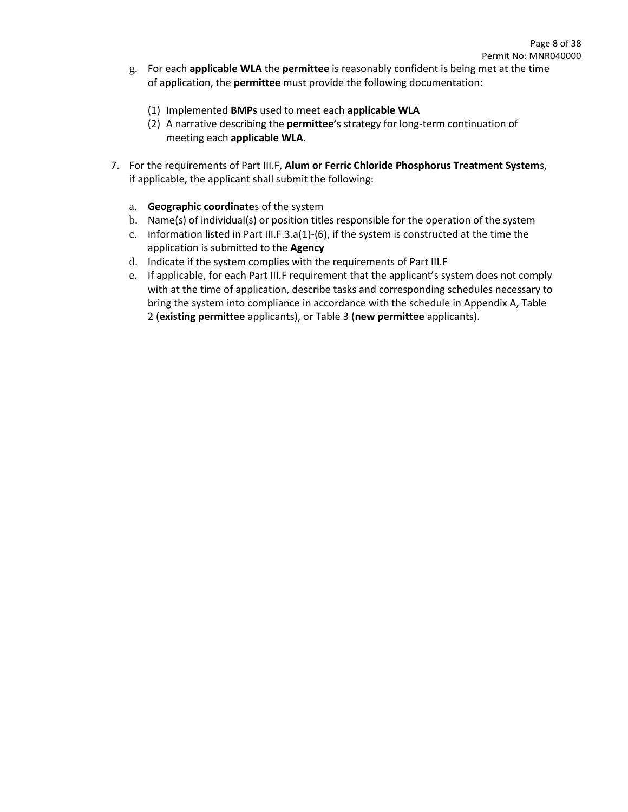- g. For each **applicable WLA** the **permittee** is reasonably confident is being met at the time of application, the **permittee** must provide the following documentation:
	- (1) Implemented **BMPs** used to meet each **applicable WLA**
	- (2) A narrative describing the **permittee'**s strategy for long-term continuation of meeting each **applicable WLA**.
- 7. For the requirements of Part III.F, **Alum or Ferric Chloride Phosphorus Treatment System**s, if applicable, the applicant shall submit the following:
	- a. **Geographic coordinate**s of the system
	- b. Name(s) of individual(s) or position titles responsible for the operation of the system
	- c. Information listed in Part III.F.3.a(1)-(6), if the system is constructed at the time the application is submitted to the **Agency**
	- d. Indicate if the system complies with the requirements of Part III.F
	- e. If applicable, for each Part III.F requirement that the applicant's system does not comply with at the time of application, describe tasks and corresponding schedules necessary to bring the system into compliance in accordance with the schedule in Appendix A, Table 2 (**existing permittee** applicants), or Table 3 (**new permittee** applicants).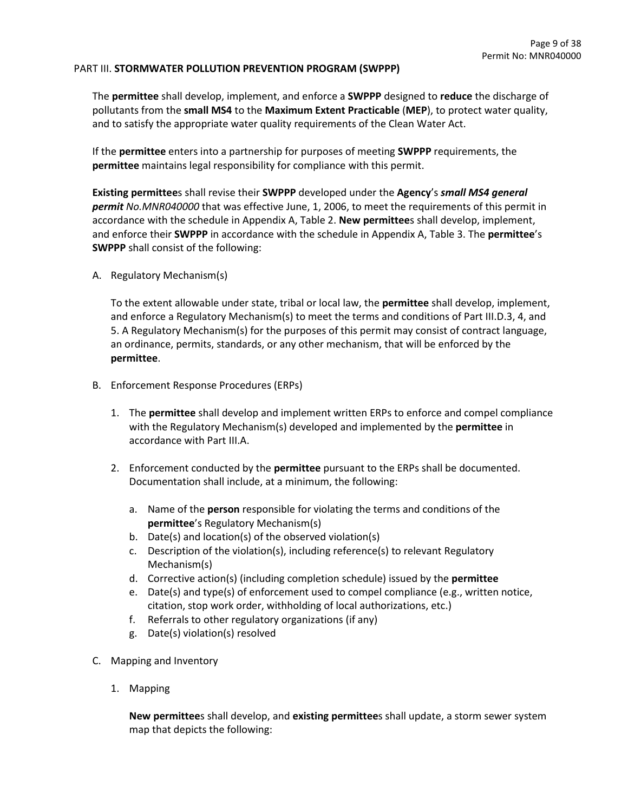#### PART III. **STORMWATER POLLUTION PREVENTION PROGRAM (SWPPP)**

The **permittee** shall develop, implement, and enforce a **SWPPP** designed to **reduce** the discharge of pollutants from the **small MS4** to the **Maximum Extent Practicable** (**MEP**), to protect water quality, and to satisfy the appropriate water quality requirements of the Clean Water Act.

If the **permittee** enters into a partnership for purposes of meeting **SWPPP** requirements, the **permittee** maintains legal responsibility for compliance with this permit.

**Existing permittee**s shall revise their **SWPPP** developed under the **Agency**'s *small MS4 general permit No.MNR040000* that was effective June, 1, 2006, to meet the requirements of this permit in accordance with the schedule in Appendix A, Table 2. **New permittee**s shall develop, implement, and enforce their **SWPPP** in accordance with the schedule in Appendix A, Table 3. The **permittee**'s **SWPPP** shall consist of the following:

A. Regulatory Mechanism(s)

To the extent allowable under state, tribal or local law, the **permittee** shall develop, implement, and enforce a Regulatory Mechanism(s) to meet the terms and conditions of Part III.D.3, 4, and 5. A Regulatory Mechanism(s) for the purposes of this permit may consist of contract language, an ordinance, permits, standards, or any other mechanism, that will be enforced by the **permittee**.

- B. Enforcement Response Procedures (ERPs)
	- 1. The **permittee** shall develop and implement written ERPs to enforce and compel compliance with the Regulatory Mechanism(s) developed and implemented by the **permittee** in accordance with Part III.A.
	- 2. Enforcement conducted by the **permittee** pursuant to the ERPs shall be documented. Documentation shall include, at a minimum, the following:
		- a. Name of the **person** responsible for violating the terms and conditions of the **permittee**'s Regulatory Mechanism(s)
		- b. Date(s) and location(s) of the observed violation(s)
		- c. Description of the violation(s), including reference(s) to relevant Regulatory Mechanism(s)
		- d. Corrective action(s) (including completion schedule) issued by the **permittee**
		- e. Date(s) and type(s) of enforcement used to compel compliance (e.g., written notice, citation, stop work order, withholding of local authorizations, etc.)
		- f. Referrals to other regulatory organizations (if any)
		- g. Date(s) violation(s) resolved
- C. Mapping and Inventory
	- 1. Mapping

**New permittee**s shall develop, and **existing permittee**s shall update, a storm sewer system map that depicts the following: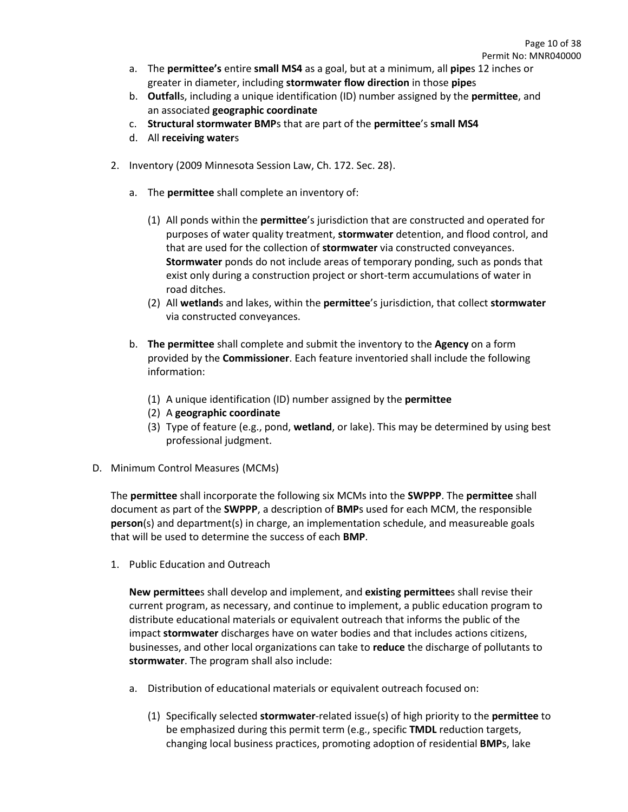- a. The **permittee's** entire **small MS4** as a goal, but at a minimum, all **pipe**s 12 inches or greater in diameter, including **stormwater flow direction** in those **pipe**s
- b. **Outfall**s, including a unique identification (ID) number assigned by the **permittee**, and an associated **geographic coordinate**
- c. **Structural stormwater BMP**s that are part of the **permittee**'s **small MS4**
- d. All **receiving water**s
- 2. Inventory (2009 Minnesota Session Law, Ch. 172. Sec. 28).
	- a. The **permittee** shall complete an inventory of:
		- (1) All ponds within the **permittee**'s jurisdiction that are constructed and operated for purposes of water quality treatment, **stormwater** detention, and flood control, and that are used for the collection of **stormwater** via constructed conveyances. **Stormwater** ponds do not include areas of temporary ponding, such as ponds that exist only during a construction project or short-term accumulations of water in road ditches.
		- (2) All **wetland**s and lakes, within the **permittee**'s jurisdiction, that collect **stormwater** via constructed conveyances.
	- b. **The permittee** shall complete and submit the inventory to the **Agency** on a form provided by the **Commissioner**. Each feature inventoried shall include the following information:
		- (1) A unique identification (ID) number assigned by the **permittee**
		- (2) A **geographic coordinate**
		- (3) Type of feature (e.g., pond, **wetland**, or lake). This may be determined by using best professional judgment.
- D. Minimum Control Measures (MCMs)

The **permittee** shall incorporate the following six MCMs into the **SWPPP**. The **permittee** shall document as part of the **SWPPP**, a description of **BMP**s used for each MCM, the responsible **person**(s) and department(s) in charge, an implementation schedule, and measureable goals that will be used to determine the success of each **BMP**.

1. Public Education and Outreach

**New permittee**s shall develop and implement, and **existing permittee**s shall revise their current program, as necessary, and continue to implement, a public education program to distribute educational materials or equivalent outreach that informs the public of the impact **stormwater** discharges have on water bodies and that includes actions citizens, businesses, and other local organizations can take to **reduce** the discharge of pollutants to **stormwater**. The program shall also include:

- a. Distribution of educational materials or equivalent outreach focused on:
	- (1) Specifically selected **stormwater**-related issue(s) of high priority to the **permittee** to be emphasized during this permit term (e.g., specific **TMDL** reduction targets, changing local business practices, promoting adoption of residential **BMP**s, lake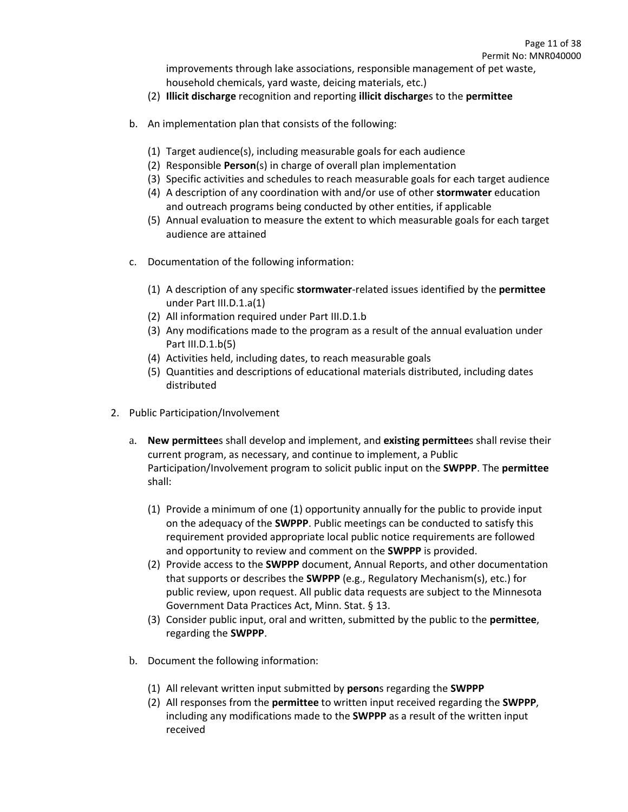improvements through lake associations, responsible management of pet waste, household chemicals, yard waste, deicing materials, etc.)

- (2) **Illicit discharge** recognition and reporting **illicit discharge**s to the **permittee**
- b. An implementation plan that consists of the following:
	- (1) Target audience(s), including measurable goals for each audience
	- (2) Responsible **Person**(s) in charge of overall plan implementation
	- (3) Specific activities and schedules to reach measurable goals for each target audience
	- (4) A description of any coordination with and/or use of other **stormwater** education and outreach programs being conducted by other entities, if applicable
	- (5) Annual evaluation to measure the extent to which measurable goals for each target audience are attained
- c. Documentation of the following information:
	- (1) A description of any specific **stormwater**-related issues identified by the **permittee** under Part III.D.1.a(1)
	- (2) All information required under Part III.D.1.b
	- (3) Any modifications made to the program as a result of the annual evaluation under Part III.D.1.b(5)
	- (4) Activities held, including dates, to reach measurable goals
	- (5) Quantities and descriptions of educational materials distributed, including dates distributed
- 2. Public Participation/Involvement
	- a. **New permittee**s shall develop and implement, and **existing permittee**s shall revise their current program, as necessary, and continue to implement, a Public Participation/Involvement program to solicit public input on the **SWPPP**. The **permittee** shall:
		- (1) Provide a minimum of one (1) opportunity annually for the public to provide input on the adequacy of the **SWPPP**. Public meetings can be conducted to satisfy this requirement provided appropriate local public notice requirements are followed and opportunity to review and comment on the **SWPPP** is provided.
		- (2) Provide access to the **SWPPP** document, Annual Reports, and other documentation that supports or describes the **SWPPP** (e.g., Regulatory Mechanism(s), etc.) for public review, upon request. All public data requests are subject to the Minnesota Government Data Practices Act, Minn. Stat. § 13.
		- (3) Consider public input, oral and written, submitted by the public to the **permittee**, regarding the **SWPPP**.
	- b. Document the following information:
		- (1) All relevant written input submitted by **person**s regarding the **SWPPP**
		- (2) All responses from the **permittee** to written input received regarding the **SWPPP**, including any modifications made to the **SWPPP** as a result of the written input received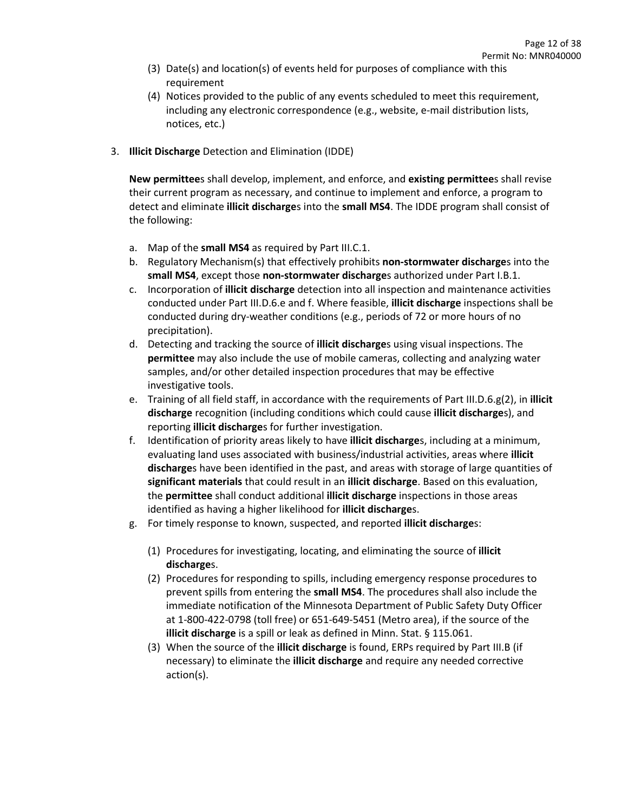- (3) Date(s) and location(s) of events held for purposes of compliance with this requirement
- (4) Notices provided to the public of any events scheduled to meet this requirement, including any electronic correspondence (e.g., website, e-mail distribution lists, notices, etc.)
- 3. **Illicit Discharge** Detection and Elimination (IDDE)

**New permittee**s shall develop, implement, and enforce, and **existing permittee**s shall revise their current program as necessary, and continue to implement and enforce, a program to detect and eliminate **illicit discharge**s into the **small MS4**. The IDDE program shall consist of the following:

- a. Map of the **small MS4** as required by Part III.C.1.
- b. Regulatory Mechanism(s) that effectively prohibits **non-stormwater discharge**s into the **small MS4**, except those **non-stormwater discharge**s authorized under Part I.B.1.
- c. Incorporation of **illicit discharge** detection into all inspection and maintenance activities conducted under Part III.D.6.e and f. Where feasible, **illicit discharge** inspections shall be conducted during dry-weather conditions (e.g., periods of 72 or more hours of no precipitation).
- d. Detecting and tracking the source of **illicit discharge**s using visual inspections. The **permittee** may also include the use of mobile cameras, collecting and analyzing water samples, and/or other detailed inspection procedures that may be effective investigative tools.
- e. Training of all field staff, in accordance with the requirements of Part III.D.6.g(2), in **illicit discharge** recognition (including conditions which could cause **illicit discharge**s), and reporting **illicit discharge**s for further investigation.
- f. Identification of priority areas likely to have **illicit discharge**s, including at a minimum, evaluating land uses associated with business/industrial activities, areas where **illicit discharge**s have been identified in the past, and areas with storage of large quantities of **significant materials** that could result in an **illicit discharge**. Based on this evaluation, the **permittee** shall conduct additional **illicit discharge** inspections in those areas identified as having a higher likelihood for **illicit discharge**s.
- g. For timely response to known, suspected, and reported **illicit discharge**s:
	- (1) Procedures for investigating, locating, and eliminating the source of **illicit discharge**s.
	- (2) Procedures for responding to spills, including emergency response procedures to prevent spills from entering the **small MS4**. The procedures shall also include the immediate notification of the Minnesota Department of Public Safety Duty Officer at 1-800-422-0798 (toll free) or 651-649-5451 (Metro area), if the source of the **illicit discharge** is a spill or leak as defined in Minn. Stat. § 115.061.
	- (3) When the source of the **illicit discharge** is found, ERPs required by Part III.B (if necessary) to eliminate the **illicit discharge** and require any needed corrective action(s).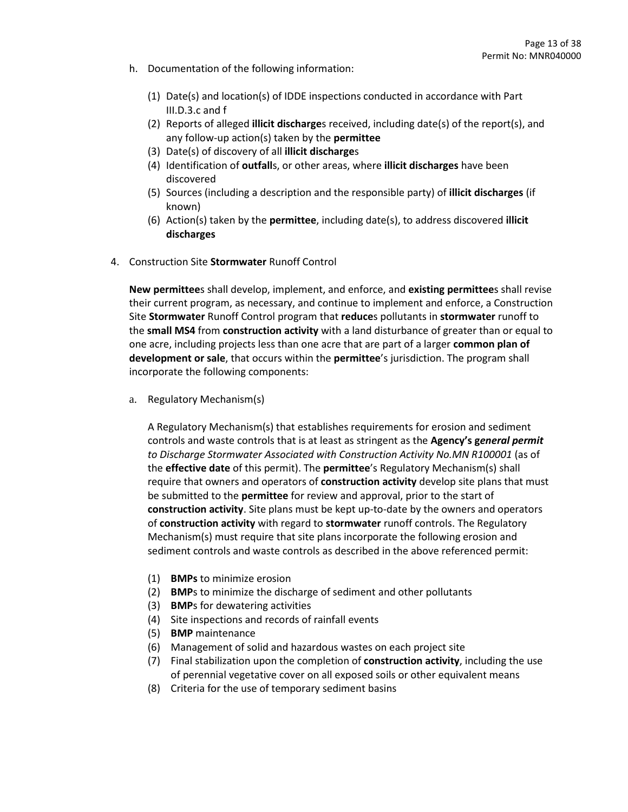- h. Documentation of the following information:
	- (1) Date(s) and location(s) of IDDE inspections conducted in accordance with Part III.D.3.c and f
	- (2) Reports of alleged **illicit discharge**s received, including date(s) of the report(s), and any follow-up action(s) taken by the **permittee**
	- (3) Date(s) of discovery of all **illicit discharge**s
	- (4) Identification of **outfall**s, or other areas, where **illicit discharges** have been discovered
	- (5) Sources (including a description and the responsible party) of **illicit discharges** (if known)
	- (6) Action(s) taken by the **permittee**, including date(s), to address discovered **illicit discharges**
- 4. Construction Site **Stormwater** Runoff Control

**New permittee**s shall develop, implement, and enforce, and **existing permittee**s shall revise their current program, as necessary, and continue to implement and enforce, a Construction Site **Stormwater** Runoff Control program that **reduce**s pollutants in **stormwater** runoff to the **small MS4** from **construction activity** with a land disturbance of greater than or equal to one acre, including projects less than one acre that are part of a larger **common plan of development or sale**, that occurs within the **permittee**'s jurisdiction. The program shall incorporate the following components:

a. Regulatory Mechanism(s)

A Regulatory Mechanism(s) that establishes requirements for erosion and sediment controls and waste controls that is at least as stringent as the **Agency's g***eneral permit to Discharge Stormwater Associated with Construction Activity No.MN R100001* (as of the **effective date** of this permit). The **permittee**'s Regulatory Mechanism(s) shall require that owners and operators of **construction activity** develop site plans that must be submitted to the **permittee** for review and approval, prior to the start of **construction activity**. Site plans must be kept up-to-date by the owners and operators of **construction activity** with regard to **stormwater** runoff controls. The Regulatory Mechanism(s) must require that site plans incorporate the following erosion and sediment controls and waste controls as described in the above referenced permit:

- (1) **BMPs** to minimize erosion
- (2) **BMP**s to minimize the discharge of sediment and other pollutants
- (3) **BMP**s for dewatering activities
- (4) Site inspections and records of rainfall events
- (5) **BMP** maintenance
- (6) Management of solid and hazardous wastes on each project site
- (7) Final stabilization upon the completion of **construction activity**, including the use of perennial vegetative cover on all exposed soils or other equivalent means
- (8) Criteria for the use of temporary sediment basins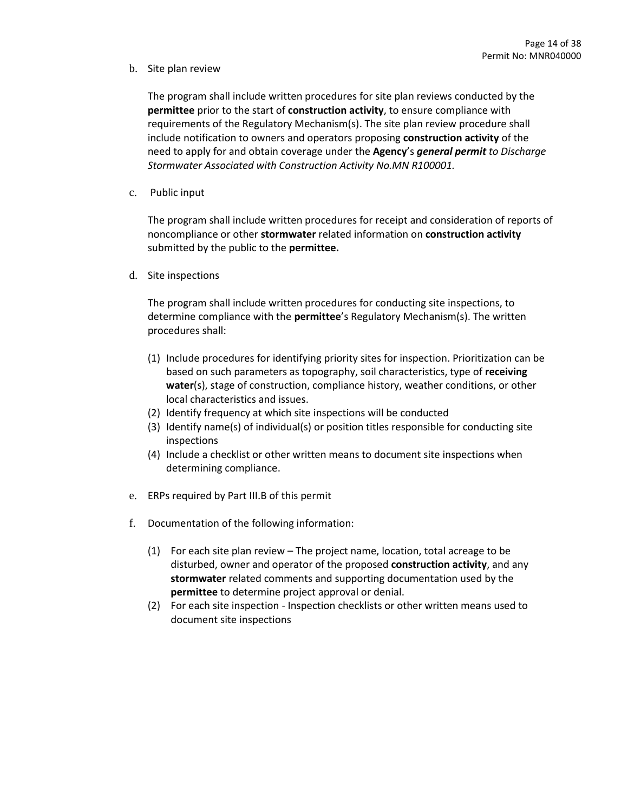# b. Site plan review

The program shall include written procedures for site plan reviews conducted by the **permittee** prior to the start of **construction activity**, to ensure compliance with requirements of the Regulatory Mechanism(s). The site plan review procedure shall include notification to owners and operators proposing **construction activity** of the need to apply for and obtain coverage under the **Agency**'s *general permit to Discharge Stormwater Associated with Construction Activity No.MN R100001.*

c. Public input

The program shall include written procedures for receipt and consideration of reports of noncompliance or other **stormwater** related information on **construction activity** submitted by the public to the **permittee.**

d. Site inspections

The program shall include written procedures for conducting site inspections, to determine compliance with the **permittee**'s Regulatory Mechanism(s). The written procedures shall:

- (1) Include procedures for identifying priority sites for inspection. Prioritization can be based on such parameters as topography, soil characteristics, type of **receiving water**(s), stage of construction, compliance history, weather conditions, or other local characteristics and issues.
- (2) Identify frequency at which site inspections will be conducted
- (3) Identify name(s) of individual(s) or position titles responsible for conducting site inspections
- (4) Include a checklist or other written means to document site inspections when determining compliance.
- e. ERPs required by Part III.B of this permit
- f. Documentation of the following information:
	- (1) For each site plan review The project name, location, total acreage to be disturbed, owner and operator of the proposed **construction activity**, and any **stormwater** related comments and supporting documentation used by the **permittee** to determine project approval or denial.
	- (2) For each site inspection Inspection checklists or other written means used to document site inspections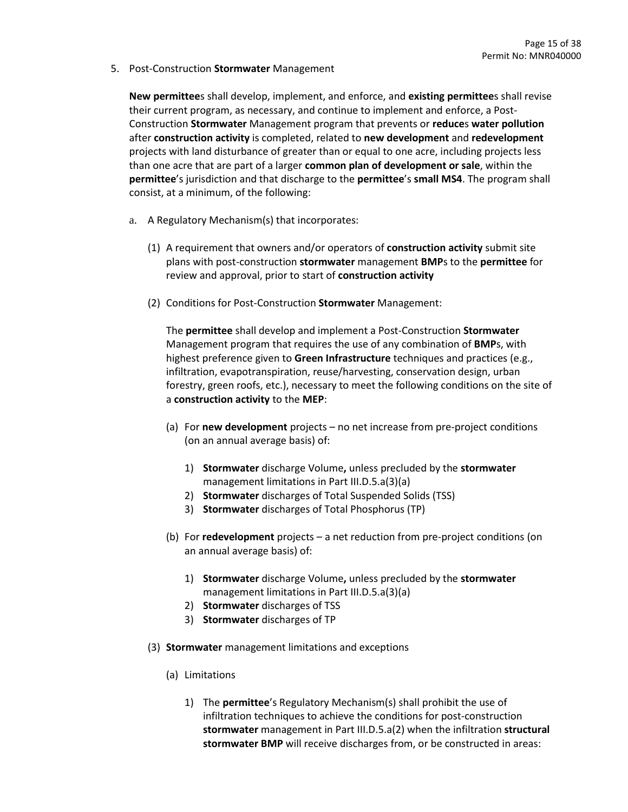5. Post-Construction **Stormwater** Management

**New permittee**s shall develop, implement, and enforce, and **existing permittee**s shall revise their current program, as necessary, and continue to implement and enforce, a Post-Construction **Stormwater** Management program that prevents or **reduce**s **water pollution** after **construction activity** is completed, related to **new development** and **redevelopment** projects with land disturbance of greater than or equal to one acre, including projects less than one acre that are part of a larger **common plan of development or sale**, within the **permittee**'s jurisdiction and that discharge to the **permittee**'s **small MS4**. The program shall consist, at a minimum, of the following:

- a. A Regulatory Mechanism(s) that incorporates:
	- (1) A requirement that owners and/or operators of **construction activity** submit site plans with post-construction **stormwater** management **BMP**s to the **permittee** for review and approval, prior to start of **construction activity**
	- (2) Conditions for Post-Construction **Stormwater** Management:

The **permittee** shall develop and implement a Post-Construction **Stormwater** Management program that requires the use of any combination of **BMP**s, with highest preference given to **Green Infrastructure** techniques and practices (e.g., infiltration, evapotranspiration, reuse/harvesting, conservation design, urban forestry, green roofs, etc.), necessary to meet the following conditions on the site of a **construction activity** to the **MEP**:

- (a) For **new development** projects no net increase from pre-project conditions (on an annual average basis) of:
	- 1) **Stormwater** discharge Volume**,** unless precluded by the **stormwater** management limitations in Part III.D.5.a(3)(a)
	- 2) **Stormwater** discharges of Total Suspended Solids (TSS)
	- 3) **Stormwater** discharges of Total Phosphorus (TP)
- (b) For **redevelopment** projects a net reduction from pre-project conditions (on an annual average basis) of:
	- 1) **Stormwater** discharge Volume**,** unless precluded by the **stormwater** management limitations in Part III.D.5.a(3)(a)
	- 2) **Stormwater** discharges of TSS
	- 3) **Stormwater** discharges of TP
- (3) **Stormwater** management limitations and exceptions
	- (a) Limitations
		- 1) The **permittee**'s Regulatory Mechanism(s) shall prohibit the use of infiltration techniques to achieve the conditions for post-construction **stormwater** management in Part III.D.5.a(2) when the infiltration **structural stormwater BMP** will receive discharges from, or be constructed in areas: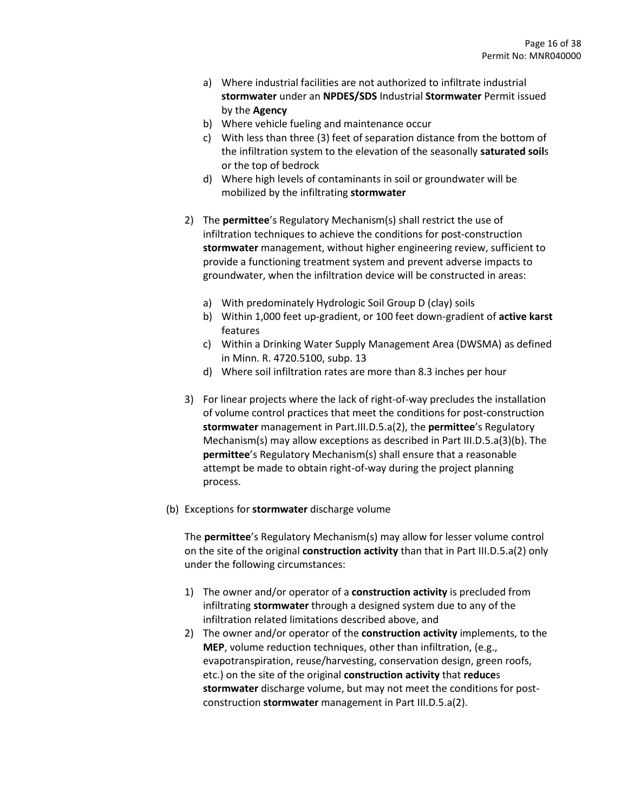- a) Where industrial facilities are not authorized to infiltrate industrial **stormwater** under an **NPDES/SDS** Industrial **Stormwater** Permit issued by the **Agency**
- b) Where vehicle fueling and maintenance occur
- c) With less than three (3) feet of separation distance from the bottom of the infiltration system to the elevation of the seasonally **saturated soil**s or the top of bedrock
- d) Where high levels of contaminants in soil or groundwater will be mobilized by the infiltrating **stormwater**
- 2) The **permittee**'s Regulatory Mechanism(s) shall restrict the use of infiltration techniques to achieve the conditions for post-construction **stormwater** management, without higher engineering review, sufficient to provide a functioning treatment system and prevent adverse impacts to groundwater, when the infiltration device will be constructed in areas:
	- a) With predominately Hydrologic Soil Group D (clay) soils
	- b) Within 1,000 feet up-gradient, or 100 feet down-gradient of **active karst** features
	- c) Within a Drinking Water Supply Management Area (DWSMA) as defined in Minn. R. 4720.5100, subp. 13
	- d) Where soil infiltration rates are more than 8.3 inches per hour
- 3) For linear projects where the lack of right-of-way precludes the installation of volume control practices that meet the conditions for post-construction **stormwater** management in Part.III.D.5.a(2), the **permittee**'s Regulatory Mechanism(s) may allow exceptions as described in Part III.D.5.a(3)(b). The **permittee**'s Regulatory Mechanism(s) shall ensure that a reasonable attempt be made to obtain right-of-way during the project planning process.
- (b) Exceptions for **stormwater** discharge volume

The **permittee**'s Regulatory Mechanism(s) may allow for lesser volume control on the site of the original **construction activity** than that in Part III.D.5.a(2) only under the following circumstances:

- 1) The owner and/or operator of a **construction activity** is precluded from infiltrating **stormwater** through a designed system due to any of the infiltration related limitations described above, and
- 2) The owner and/or operator of the **construction activity** implements, to the **MEP**, volume reduction techniques, other than infiltration, (e.g., evapotranspiration, reuse/harvesting, conservation design, green roofs, etc.) on the site of the original **construction activity** that **reduce**s **stormwater** discharge volume, but may not meet the conditions for postconstruction **stormwater** management in Part III.D.5.a(2).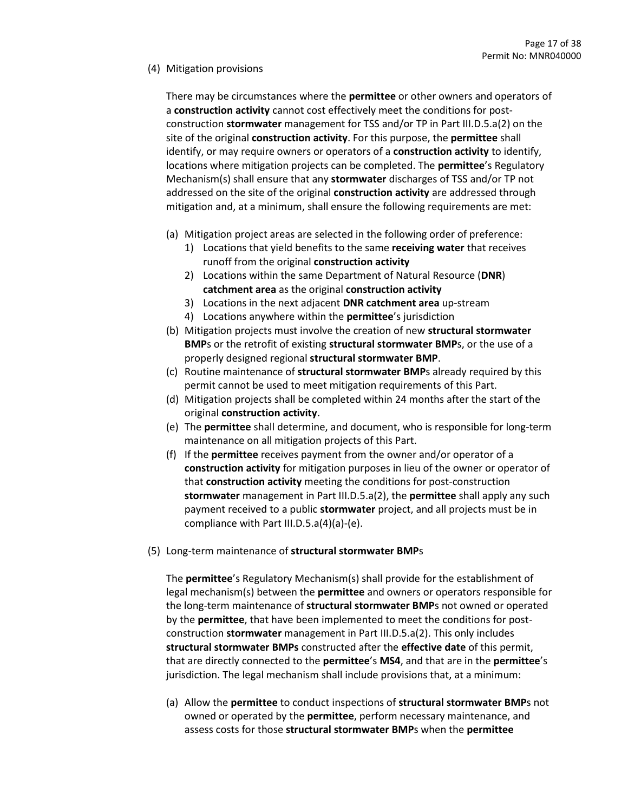# (4) Mitigation provisions

There may be circumstances where the **permittee** or other owners and operators of a **construction activity** cannot cost effectively meet the conditions for postconstruction **stormwater** management for TSS and/or TP in Part III.D.5.a(2) on the site of the original **construction activity**. For this purpose, the **permittee** shall identify, or may require owners or operators of a **construction activity** to identify, locations where mitigation projects can be completed. The **permittee**'s Regulatory Mechanism(s) shall ensure that any **stormwater** discharges of TSS and/or TP not addressed on the site of the original **construction activity** are addressed through mitigation and, at a minimum, shall ensure the following requirements are met:

- (a) Mitigation project areas are selected in the following order of preference:
	- 1) Locations that yield benefits to the same **receiving water** that receives runoff from the original **construction activity**
	- 2) Locations within the same Department of Natural Resource (**DNR**) **catchment area** as the original **construction activity**
	- 3) Locations in the next adjacent **DNR catchment area** up-stream
	- 4) Locations anywhere within the **permittee**'s jurisdiction
- (b) Mitigation projects must involve the creation of new **structural stormwater BMP**s or the retrofit of existing **structural stormwater BMP**s, or the use of a properly designed regional **structural stormwater BMP**.
- (c) Routine maintenance of **structural stormwater BMP**s already required by this permit cannot be used to meet mitigation requirements of this Part.
- (d) Mitigation projects shall be completed within 24 months after the start of the original **construction activity**.
- (e) The **permittee** shall determine, and document, who is responsible for long-term maintenance on all mitigation projects of this Part.
- (f) If the **permittee** receives payment from the owner and/or operator of a **construction activity** for mitigation purposes in lieu of the owner or operator of that **construction activity** meeting the conditions for post-construction **stormwater** management in Part III.D.5.a(2), the **permittee** shall apply any such payment received to a public **stormwater** project, and all projects must be in compliance with Part III.D.5.a(4)(a)-(e).
- (5) Long-term maintenance of **structural stormwater BMP**s

The **permittee**'s Regulatory Mechanism(s) shall provide for the establishment of legal mechanism(s) between the **permittee** and owners or operators responsible for the long-term maintenance of **structural stormwater BMP**s not owned or operated by the **permittee**, that have been implemented to meet the conditions for postconstruction **stormwater** management in Part III.D.5.a(2). This only includes **structural stormwater BMPs** constructed after the **effective date** of this permit, that are directly connected to the **permittee**'s **MS4**, and that are in the **permittee**'s jurisdiction. The legal mechanism shall include provisions that, at a minimum:

(a) Allow the **permittee** to conduct inspections of **structural stormwater BMP**s not owned or operated by the **permittee**, perform necessary maintenance, and assess costs for those **structural stormwater BMP**s when the **permittee**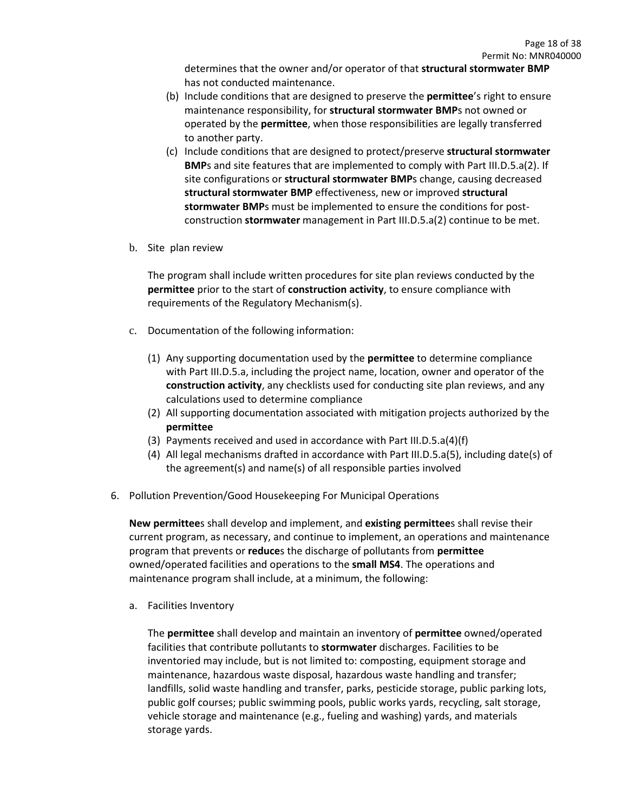determines that the owner and/or operator of that **structural stormwater BMP** has not conducted maintenance.

- (b) Include conditions that are designed to preserve the **permittee**'s right to ensure maintenance responsibility, for **structural stormwater BMP**s not owned or operated by the **permittee**, when those responsibilities are legally transferred to another party.
- (c) Include conditions that are designed to protect/preserve **structural stormwater BMP**s and site features that are implemented to comply with Part III.D.5.a(2). If site configurations or **structural stormwater BMP**s change, causing decreased **structural stormwater BMP** effectiveness, new or improved **structural stormwater BMP**s must be implemented to ensure the conditions for postconstruction **stormwater** management in Part III.D.5.a(2) continue to be met.
- b. Site plan review

The program shall include written procedures for site plan reviews conducted by the **permittee** prior to the start of **construction activity**, to ensure compliance with requirements of the Regulatory Mechanism(s).

- c. Documentation of the following information:
	- (1) Any supporting documentation used by the **permittee** to determine compliance with Part III.D.5.a, including the project name, location, owner and operator of the **construction activity**, any checklists used for conducting site plan reviews, and any calculations used to determine compliance
	- (2) All supporting documentation associated with mitigation projects authorized by the **permittee**
	- (3) Payments received and used in accordance with Part III.D.5.a(4)(f)
	- (4) All legal mechanisms drafted in accordance with Part III.D.5.a(5), including date(s) of the agreement(s) and name(s) of all responsible parties involved
- 6. Pollution Prevention/Good Housekeeping For Municipal Operations

**New permittee**s shall develop and implement, and **existing permittee**s shall revise their current program, as necessary, and continue to implement, an operations and maintenance program that prevents or **reduce**s the discharge of pollutants from **permittee** owned/operated facilities and operations to the **small MS4**. The operations and maintenance program shall include, at a minimum, the following:

a. Facilities Inventory

The **permittee** shall develop and maintain an inventory of **permittee** owned/operated facilities that contribute pollutants to **stormwater** discharges. Facilities to be inventoried may include, but is not limited to: composting, equipment storage and maintenance, hazardous waste disposal, hazardous waste handling and transfer; landfills, solid waste handling and transfer, parks, pesticide storage, public parking lots, public golf courses; public swimming pools, public works yards, recycling, salt storage, vehicle storage and maintenance (e.g., fueling and washing) yards, and materials storage yards.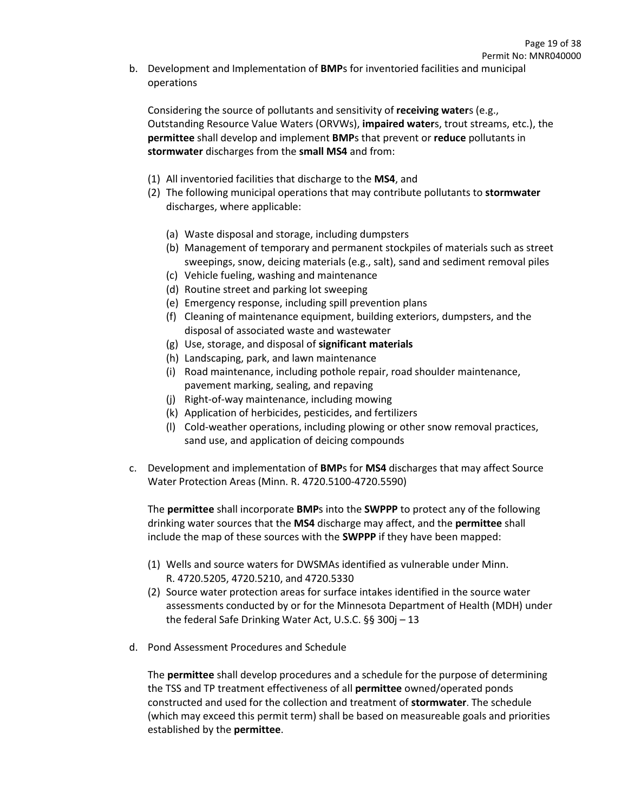b. Development and Implementation of **BMP**s for inventoried facilities and municipal operations

Considering the source of pollutants and sensitivity of **receiving water**s (e.g., Outstanding Resource Value Waters (ORVWs), **impaired water**s, trout streams, etc.), the **permittee** shall develop and implement **BMP**s that prevent or **reduce** pollutants in **stormwater** discharges from the **small MS4** and from:

- (1) All inventoried facilities that discharge to the **MS4**, and
- (2) The following municipal operations that may contribute pollutants to **stormwater** discharges, where applicable:
	- (a) Waste disposal and storage, including dumpsters
	- (b) Management of temporary and permanent stockpiles of materials such as street sweepings, snow, deicing materials (e.g., salt), sand and sediment removal piles
	- (c) Vehicle fueling, washing and maintenance
	- (d) Routine street and parking lot sweeping
	- (e) Emergency response, including spill prevention plans
	- (f) Cleaning of maintenance equipment, building exteriors, dumpsters, and the disposal of associated waste and wastewater
	- (g) Use, storage, and disposal of **significant materials**
	- (h) Landscaping, park, and lawn maintenance
	- (i) Road maintenance, including pothole repair, road shoulder maintenance, pavement marking, sealing, and repaving
	- (j) Right-of-way maintenance, including mowing
	- (k) Application of herbicides, pesticides, and fertilizers
	- (l) Cold-weather operations, including plowing or other snow removal practices, sand use, and application of deicing compounds
- c. Development and implementation of **BMP**s for **MS4** discharges that may affect Source Water Protection Areas (Minn. R. 4720.5100-4720.5590)

The **permittee** shall incorporate **BMP**s into the **SWPPP** to protect any of the following drinking water sources that the **MS4** discharge may affect, and the **permittee** shall include the map of these sources with the **SWPPP** if they have been mapped:

- (1) Wells and source waters for DWSMAs identified as vulnerable under Minn. R. 4720.5205, 4720.5210, and 4720.5330
- (2) Source water protection areas for surface intakes identified in the source water assessments conducted by or for the Minnesota Department of Health (MDH) under the federal Safe Drinking Water Act, U.S.C. §§ 300j *–* 13
- d. Pond Assessment Procedures and Schedule

The **permittee** shall develop procedures and a schedule for the purpose of determining the TSS and TP treatment effectiveness of all **permittee** owned/operated ponds constructed and used for the collection and treatment of **stormwater**. The schedule (which may exceed this permit term) shall be based on measureable goals and priorities established by the **permittee**.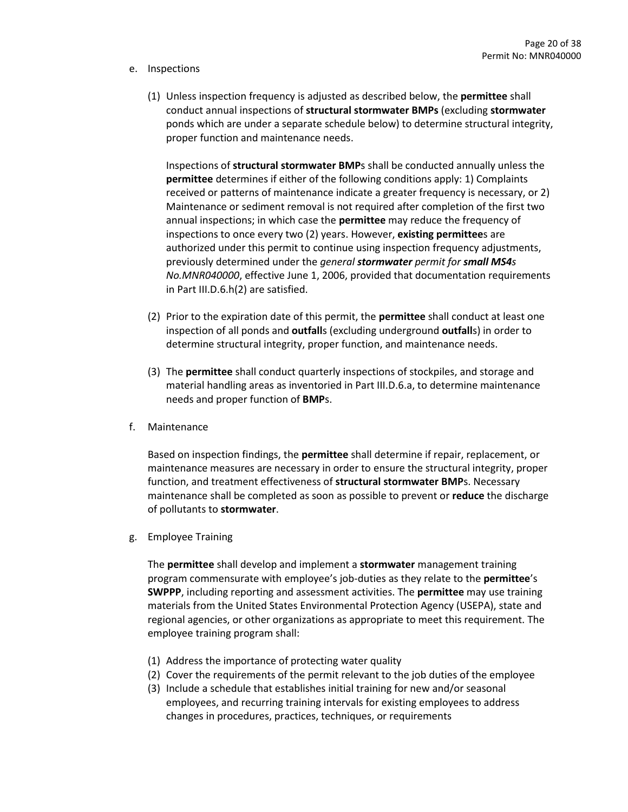#### e. Inspections

(1) Unless inspection frequency is adjusted as described below, the **permittee** shall conduct annual inspections of **structural stormwater BMPs** (excluding **stormwater** ponds which are under a separate schedule below) to determine structural integrity, proper function and maintenance needs.

Inspections of **structural stormwater BMP**s shall be conducted annually unless the **permittee** determines if either of the following conditions apply: 1) Complaints received or patterns of maintenance indicate a greater frequency is necessary, or 2) Maintenance or sediment removal is not required after completion of the first two annual inspections; in which case the **permittee** may reduce the frequency of inspections to once every two (2) years. However, **existing permittee**s are authorized under this permit to continue using inspection frequency adjustments, previously determined under the *general stormwater permit for small MS4s No.MNR040000*, effective June 1, 2006, provided that documentation requirements in Part III.D.6.h(2) are satisfied.

- (2) Prior to the expiration date of this permit, the **permittee** shall conduct at least one inspection of all ponds and **outfall**s (excluding underground **outfall**s) in order to determine structural integrity, proper function, and maintenance needs.
- (3) The **permittee** shall conduct quarterly inspections of stockpiles, and storage and material handling areas as inventoried in Part III.D.6.a, to determine maintenance needs and proper function of **BMP**s.
- f. Maintenance

Based on inspection findings, the **permittee** shall determine if repair, replacement, or maintenance measures are necessary in order to ensure the structural integrity, proper function, and treatment effectiveness of **structural stormwater BMP**s. Necessary maintenance shall be completed as soon as possible to prevent or **reduce** the discharge of pollutants to **stormwater**.

g. Employee Training

The **permittee** shall develop and implement a **stormwater** management training program commensurate with employee's job-duties as they relate to the **permittee**'s **SWPPP**, including reporting and assessment activities. The **permittee** may use training materials from the United States Environmental Protection Agency (USEPA), state and regional agencies, or other organizations as appropriate to meet this requirement. The employee training program shall:

- (1) Address the importance of protecting water quality
- (2) Cover the requirements of the permit relevant to the job duties of the employee
- (3) Include a schedule that establishes initial training for new and/or seasonal employees, and recurring training intervals for existing employees to address changes in procedures, practices, techniques, or requirements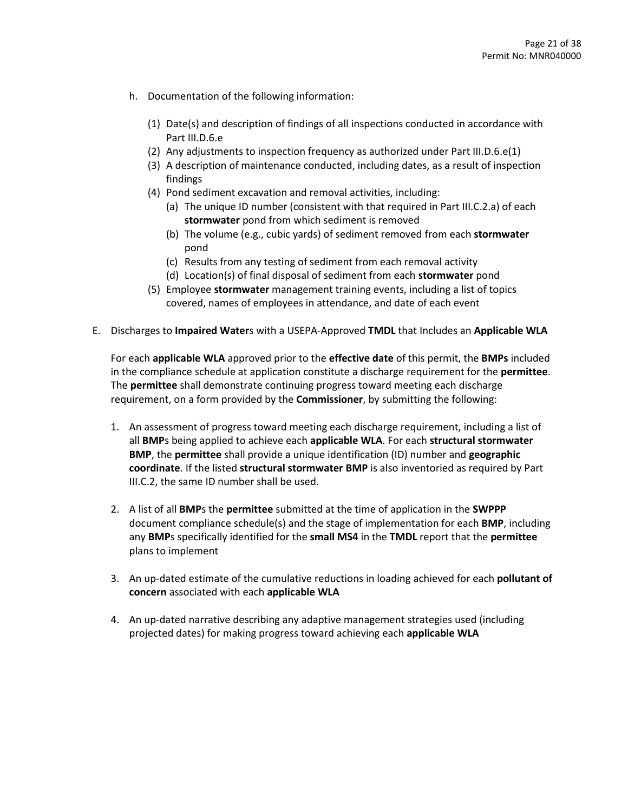- h. Documentation of the following information:
	- (1) Date(s) and description of findings of all inspections conducted in accordance with Part III.D.6.e
	- (2) Any adjustments to inspection frequency as authorized under Part III.D.6.e(1)
	- (3) A description of maintenance conducted, including dates, as a result of inspection findings
	- (4) Pond sediment excavation and removal activities, including:
		- (a) The unique ID number (consistent with that required in Part III.C.2.a) of each **stormwater** pond from which sediment is removed
		- (b) The volume (e.g., cubic yards) of sediment removed from each **stormwater** pond
		- (c) Results from any testing of sediment from each removal activity
		- (d) Location(s) of final disposal of sediment from each **stormwater** pond
	- (5) Employee **stormwater** management training events, including a list of topics covered, names of employees in attendance, and date of each event
- E. Discharges to **Impaired Water**s with a USEPA-Approved **TMDL** that Includes an **Applicable WLA**

For each **applicable WLA** approved prior to the **effective date** of this permit, the **BMPs** included in the compliance schedule at application constitute a discharge requirement for the **permittee**. The **permittee** shall demonstrate continuing progress toward meeting each discharge requirement, on a form provided by the **Commissioner**, by submitting the following:

- 1. An assessment of progress toward meeting each discharge requirement, including a list of all **BMP**s being applied to achieve each **applicable WLA**. For each **structural stormwater BMP**, the **permittee** shall provide a unique identification (ID) number and **geographic coordinate**. If the listed **structural stormwater BMP** is also inventoried as required by Part III.C.2, the same ID number shall be used.
- 2. A list of all **BMP**s the **permittee** submitted at the time of application in the **SWPPP** document compliance schedule(s) and the stage of implementation for each **BMP**, including any **BMP**s specifically identified for the **small MS4** in the **TMDL** report that the **permittee** plans to implement
- 3. An up-dated estimate of the cumulative reductions in loading achieved for each **pollutant of concern** associated with each **applicable WLA**
- 4. An up-dated narrative describing any adaptive management strategies used (including projected dates) for making progress toward achieving each **applicable WLA**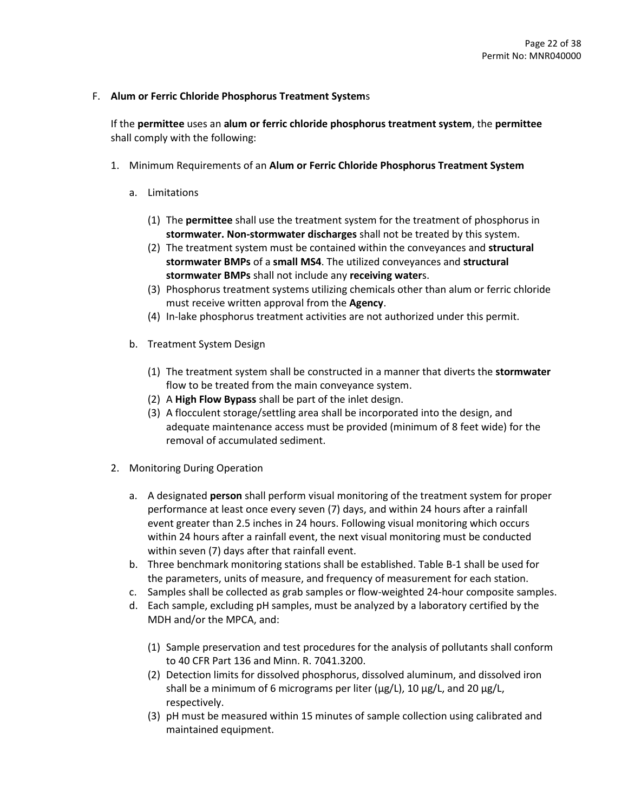# F. **Alum or Ferric Chloride Phosphorus Treatment System**s

If the **permittee** uses an **alum or ferric chloride phosphorus treatment system**, the **permittee**  shall comply with the following:

- 1. Minimum Requirements of an **Alum or Ferric Chloride Phosphorus Treatment System**
	- a. Limitations
		- (1) The **permittee** shall use the treatment system for the treatment of phosphorus in **stormwater. Non-stormwater discharges** shall not be treated by this system.
		- (2) The treatment system must be contained within the conveyances and **structural stormwater BMPs** of a **small MS4**. The utilized conveyances and **structural stormwater BMPs** shall not include any **receiving water**s.
		- (3) Phosphorus treatment systems utilizing chemicals other than alum or ferric chloride must receive written approval from the **Agency**.
		- (4) In-lake phosphorus treatment activities are not authorized under this permit.
	- b. Treatment System Design
		- (1) The treatment system shall be constructed in a manner that diverts the **stormwater** flow to be treated from the main conveyance system.
		- (2) A **High Flow Bypass** shall be part of the inlet design.
		- (3) A flocculent storage/settling area shall be incorporated into the design, and adequate maintenance access must be provided (minimum of 8 feet wide) for the removal of accumulated sediment.
- 2. Monitoring During Operation
	- a. A designated **person** shall perform visual monitoring of the treatment system for proper performance at least once every seven (7) days, and within 24 hours after a rainfall event greater than 2.5 inches in 24 hours. Following visual monitoring which occurs within 24 hours after a rainfall event, the next visual monitoring must be conducted within seven (7) days after that rainfall event.
	- b. Three benchmark monitoring stations shall be established. Table B-1 shall be used for the parameters, units of measure, and frequency of measurement for each station.
	- c. Samples shall be collected as grab samples or flow-weighted 24-hour composite samples.
	- d. Each sample, excluding pH samples, must be analyzed by a laboratory certified by the MDH and/or the MPCA, and:
		- (1) Sample preservation and test procedures for the analysis of pollutants shall conform to 40 CFR Part 136 and Minn. R. 7041.3200.
		- (2) Detection limits for dissolved phosphorus, dissolved aluminum, and dissolved iron shall be a minimum of 6 micrograms per liter ( $\mu$ g/L), 10  $\mu$ g/L, and 20  $\mu$ g/L, respectively.
		- (3) pH must be measured within 15 minutes of sample collection using calibrated and maintained equipment.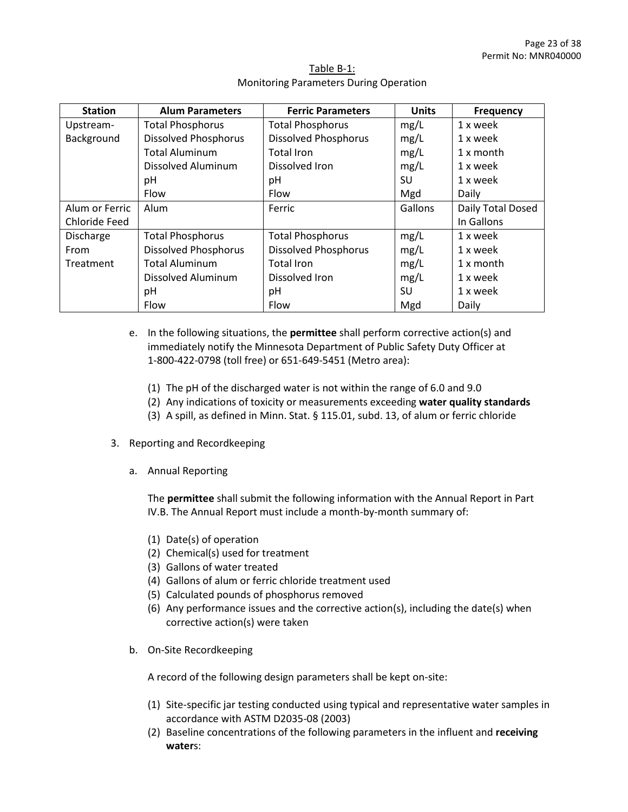| <b>Station</b> | <b>Alum Parameters</b>      | <b>Ferric Parameters</b>    | <b>Units</b> | <b>Frequency</b>  |
|----------------|-----------------------------|-----------------------------|--------------|-------------------|
| Upstream-      | <b>Total Phosphorus</b>     | <b>Total Phosphorus</b>     | mg/L         | 1 x week          |
| Background     | <b>Dissolved Phosphorus</b> | <b>Dissolved Phosphorus</b> | mg/L         | 1 x week          |
|                | <b>Total Aluminum</b>       | Total Iron                  | mg/L         | 1 x month         |
|                | <b>Dissolved Aluminum</b>   | Dissolved Iron              | mg/L         | 1 x week          |
|                | рH                          | рH                          | SU           | 1 x week          |
|                | Flow                        | Flow                        | Mgd          | Daily             |
| Alum or Ferric | Alum                        | Ferric                      | Gallons      | Daily Total Dosed |
| Chloride Feed  |                             |                             |              | In Gallons        |
| Discharge      | <b>Total Phosphorus</b>     | <b>Total Phosphorus</b>     | mg/L         | 1 x week          |
| From           | <b>Dissolved Phosphorus</b> | <b>Dissolved Phosphorus</b> | mg/L         | 1 x week          |
| Treatment      | <b>Total Aluminum</b>       | Total Iron                  | mg/L         | 1 x month         |
|                | <b>Dissolved Aluminum</b>   | Dissolved Iron              | mg/L         | 1 x week          |
|                | рH                          | рH                          | SU           | 1 x week          |
|                | Flow                        | Flow                        | Mgd          | Daily             |

# Table B-1: Monitoring Parameters During Operation

- e. In the following situations, the **permittee** shall perform corrective action(s) and immediately notify the Minnesota Department of Public Safety Duty Officer at 1-800-422-0798 (toll free) or 651-649-5451 (Metro area):
	- (1) The pH of the discharged water is not within the range of 6.0 and 9.0
	- (2) Any indications of toxicity or measurements exceeding **water quality standards**
	- (3) A spill, as defined in Minn. Stat. § 115.01, subd. 13, of alum or ferric chloride
- 3. Reporting and Recordkeeping
	- a. Annual Reporting

The **permittee** shall submit the following information with the Annual Report in Part IV.B. The Annual Report must include a month-by-month summary of:

- (1) Date(s) of operation
- (2) Chemical(s) used for treatment
- (3) Gallons of water treated
- (4) Gallons of alum or ferric chloride treatment used
- (5) Calculated pounds of phosphorus removed
- (6) Any performance issues and the corrective action(s), including the date(s) when corrective action(s) were taken
- b. On-Site Recordkeeping

A record of the following design parameters shall be kept on-site:

- (1) Site-specific jar testing conducted using typical and representative water samples in accordance with ASTM D2035-08 (2003)
- (2) Baseline concentrations of the following parameters in the influent and **receiving water**s: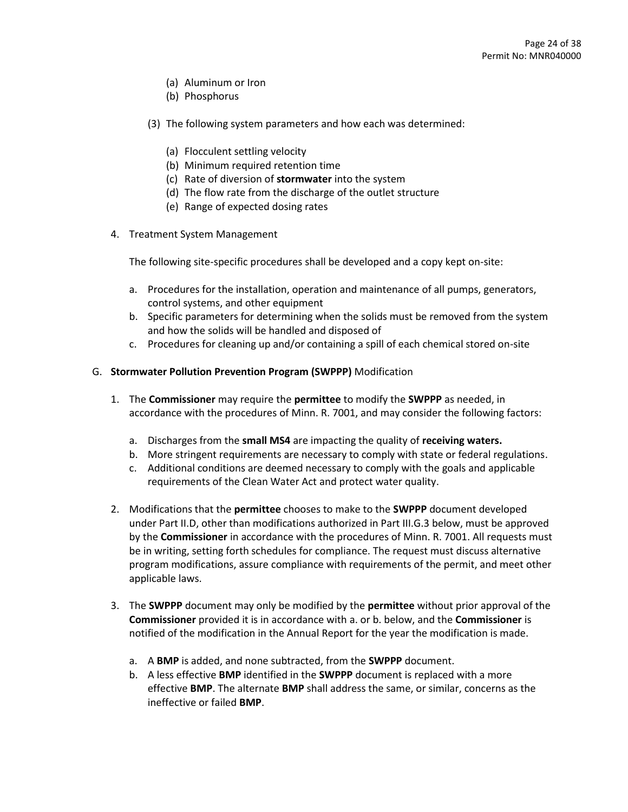- (a) Aluminum or Iron
- (b) Phosphorus
- (3) The following system parameters and how each was determined:
	- (a) Flocculent settling velocity
	- (b) Minimum required retention time
	- (c) Rate of diversion of **stormwater** into the system
	- (d) The flow rate from the discharge of the outlet structure
	- (e) Range of expected dosing rates
- 4. Treatment System Management

The following site-specific procedures shall be developed and a copy kept on-site:

- a. Procedures for the installation, operation and maintenance of all pumps, generators, control systems, and other equipment
- b. Specific parameters for determining when the solids must be removed from the system and how the solids will be handled and disposed of
- c. Procedures for cleaning up and/or containing a spill of each chemical stored on-site
- G. **Stormwater Pollution Prevention Program (SWPPP)** Modification
	- 1. The **Commissioner** may require the **permittee** to modify the **SWPPP** as needed, in accordance with the procedures of Minn. R. 7001, and may consider the following factors:
		- a. Discharges from the **small MS4** are impacting the quality of **receiving waters.**
		- b. More stringent requirements are necessary to comply with state or federal regulations.
		- c. Additional conditions are deemed necessary to comply with the goals and applicable requirements of the Clean Water Act and protect water quality.
	- 2. Modifications that the **permittee** chooses to make to the **SWPPP** document developed under Part II.D, other than modifications authorized in Part III.G.3 below, must be approved by the **Commissioner** in accordance with the procedures of Minn. R. 7001. All requests must be in writing, setting forth schedules for compliance. The request must discuss alternative program modifications, assure compliance with requirements of the permit, and meet other applicable laws.
	- 3. The **SWPPP** document may only be modified by the **permittee** without prior approval of the **Commissioner** provided it is in accordance with a. or b. below, and the **Commissioner** is notified of the modification in the Annual Report for the year the modification is made.
		- a. A **BMP** is added, and none subtracted, from the **SWPPP** document.
		- b. A less effective **BMP** identified in the **SWPPP** document is replaced with a more effective **BMP**. The alternate **BMP** shall address the same, or similar, concerns as the ineffective or failed **BMP**.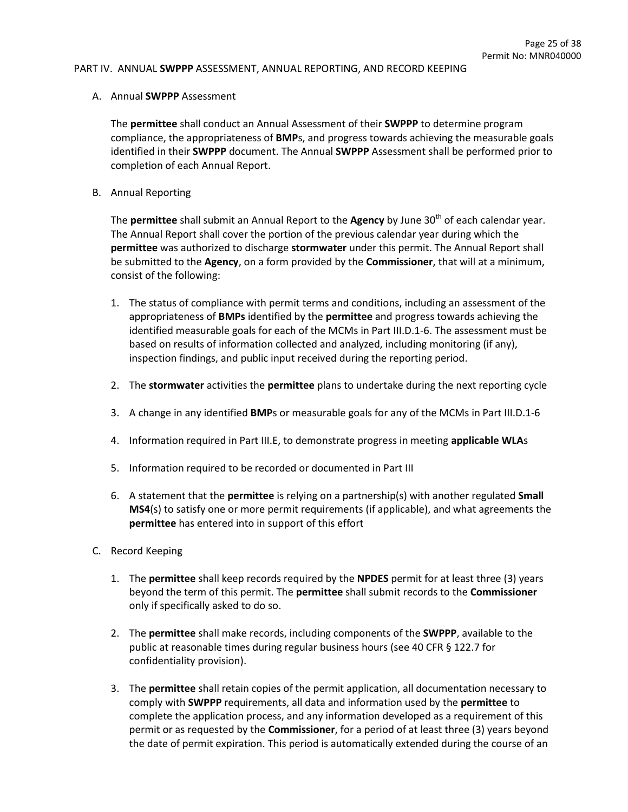#### PART IV. ANNUAL **SWPPP** ASSESSMENT, ANNUAL REPORTING, AND RECORD KEEPING

A. Annual **SWPPP** Assessment

The **permittee** shall conduct an Annual Assessment of their **SWPPP** to determine program compliance, the appropriateness of **BMP**s, and progress towards achieving the measurable goals identified in their **SWPPP** document. The Annual **SWPPP** Assessment shall be performed prior to completion of each Annual Report.

B. Annual Reporting

The **permittee** shall submit an Annual Report to the **Agency** by June 30<sup>th</sup> of each calendar year. The Annual Report shall cover the portion of the previous calendar year during which the **permittee** was authorized to discharge **stormwater** under this permit. The Annual Report shall be submitted to the **Agency**, on a form provided by the **Commissioner**, that will at a minimum, consist of the following:

- 1. The status of compliance with permit terms and conditions, including an assessment of the appropriateness of **BMPs** identified by the **permittee** and progress towards achieving the identified measurable goals for each of the MCMs in Part III.D.1-6. The assessment must be based on results of information collected and analyzed, including monitoring (if any), inspection findings, and public input received during the reporting period.
- 2. The **stormwater** activities the **permittee** plans to undertake during the next reporting cycle
- 3. A change in any identified **BMP**s or measurable goals for any of the MCMs in Part III.D.1-6
- 4. Information required in Part III.E, to demonstrate progress in meeting **applicable WLA**s
- 5. Information required to be recorded or documented in Part III
- 6. A statement that the **permittee** is relying on a partnership(s) with another regulated **Small MS4**(s) to satisfy one or more permit requirements (if applicable), and what agreements the **permittee** has entered into in support of this effort
- C. Record Keeping
	- 1. The **permittee** shall keep records required by the **NPDES** permit for at least three (3) years beyond the term of this permit. The **permittee** shall submit records to the **Commissioner** only if specifically asked to do so.
	- 2. The **permittee** shall make records, including components of the **SWPPP**, available to the public at reasonable times during regular business hours (see 40 CFR § 122.7 for confidentiality provision).
	- 3. The **permittee** shall retain copies of the permit application, all documentation necessary to comply with **SWPPP** requirements, all data and information used by the **permittee** to complete the application process, and any information developed as a requirement of this permit or as requested by the **Commissioner**, for a period of at least three (3) years beyond the date of permit expiration. This period is automatically extended during the course of an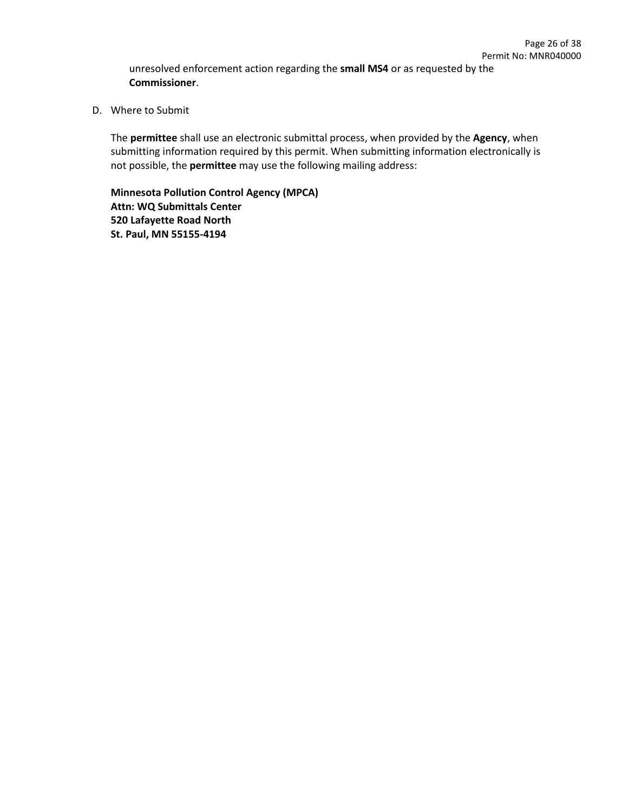unresolved enforcement action regarding the **small MS4** or as requested by the **Commissioner**.

D. Where to Submit

The **permittee** shall use an electronic submittal process, when provided by the **Agency**, when submitting information required by this permit. When submitting information electronically is not possible, the **permittee** may use the following mailing address:

**Minnesota Pollution Control Agency (MPCA) Attn: WQ Submittals Center 520 Lafayette Road North St. Paul, MN 55155-4194**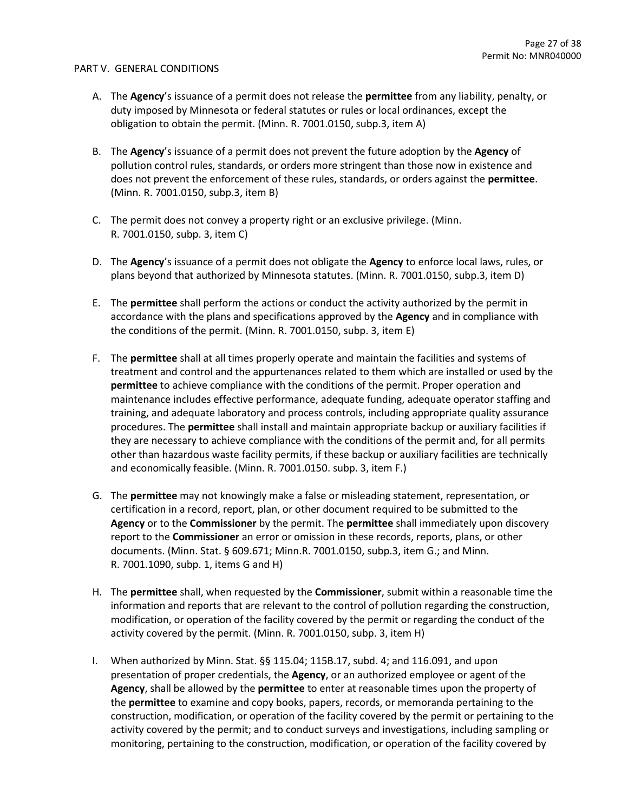#### PART V. GENERAL CONDITIONS

- A. The **Agency**'s issuance of a permit does not release the **permittee** from any liability, penalty, or duty imposed by Minnesota or federal statutes or rules or local ordinances, except the obligation to obtain the permit. (Minn. R. 7001.0150, subp.3, item A)
- B. The **Agency**'s issuance of a permit does not prevent the future adoption by the **Agency** of pollution control rules, standards, or orders more stringent than those now in existence and does not prevent the enforcement of these rules, standards, or orders against the **permittee**. (Minn. R. 7001.0150, subp.3, item B)
- C. The permit does not convey a property right or an exclusive privilege. (Minn. R. 7001.0150, subp. 3, item C)
- D. The **Agency**'s issuance of a permit does not obligate the **Agency** to enforce local laws, rules, or plans beyond that authorized by Minnesota statutes. (Minn. R. 7001.0150, subp.3, item D)
- E. The **permittee** shall perform the actions or conduct the activity authorized by the permit in accordance with the plans and specifications approved by the **Agency** and in compliance with the conditions of the permit. (Minn. R. 7001.0150, subp. 3, item E)
- F. The **permittee** shall at all times properly operate and maintain the facilities and systems of treatment and control and the appurtenances related to them which are installed or used by the **permittee** to achieve compliance with the conditions of the permit. Proper operation and maintenance includes effective performance, adequate funding, adequate operator staffing and training, and adequate laboratory and process controls, including appropriate quality assurance procedures. The **permittee** shall install and maintain appropriate backup or auxiliary facilities if they are necessary to achieve compliance with the conditions of the permit and, for all permits other than hazardous waste facility permits, if these backup or auxiliary facilities are technically and economically feasible. (Minn. R. 7001.0150. subp. 3, item F.)
- G. The **permittee** may not knowingly make a false or misleading statement, representation, or certification in a record, report, plan, or other document required to be submitted to the **Agency** or to the **Commissioner** by the permit. The **permittee** shall immediately upon discovery report to the **Commissioner** an error or omission in these records, reports, plans, or other documents. (Minn. Stat. § 609.671; Minn.R. 7001.0150, subp.3, item G.; and Minn. R. 7001.1090, subp. 1, items G and H)
- H. The **permittee** shall, when requested by the **Commissioner**, submit within a reasonable time the information and reports that are relevant to the control of pollution regarding the construction, modification, or operation of the facility covered by the permit or regarding the conduct of the activity covered by the permit. (Minn. R. 7001.0150, subp. 3, item H)
- I. When authorized by Minn. Stat. §§ 115.04; 115B.17, subd. 4; and 116.091, and upon presentation of proper credentials, the **Agency**, or an authorized employee or agent of the **Agency**, shall be allowed by the **permittee** to enter at reasonable times upon the property of the **permittee** to examine and copy books, papers, records, or memoranda pertaining to the construction, modification, or operation of the facility covered by the permit or pertaining to the activity covered by the permit; and to conduct surveys and investigations, including sampling or monitoring, pertaining to the construction, modification, or operation of the facility covered by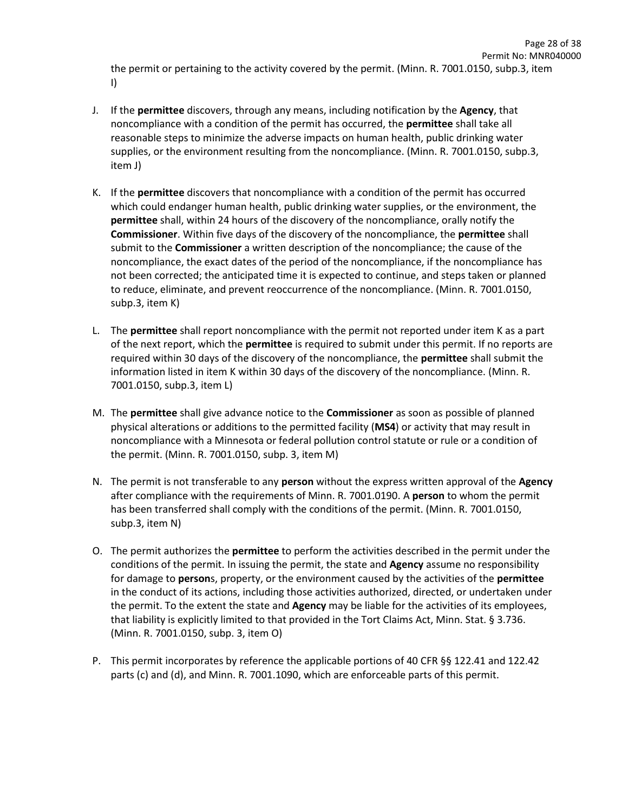Page 28 of 38

- J. If the **permittee** discovers, through any means, including notification by the **Agency**, that noncompliance with a condition of the permit has occurred, the **permittee** shall take all reasonable steps to minimize the adverse impacts on human health, public drinking water supplies, or the environment resulting from the noncompliance. (Minn. R. 7001.0150, subp.3, item J)
- K. If the **permittee** discovers that noncompliance with a condition of the permit has occurred which could endanger human health, public drinking water supplies, or the environment, the **permittee** shall, within 24 hours of the discovery of the noncompliance, orally notify the **Commissioner**. Within five days of the discovery of the noncompliance, the **permittee** shall submit to the **Commissioner** a written description of the noncompliance; the cause of the noncompliance, the exact dates of the period of the noncompliance, if the noncompliance has not been corrected; the anticipated time it is expected to continue, and steps taken or planned to reduce, eliminate, and prevent reoccurrence of the noncompliance. (Minn. R. 7001.0150, subp.3, item K)
- L. The **permittee** shall report noncompliance with the permit not reported under item K as a part of the next report, which the **permittee** is required to submit under this permit. If no reports are required within 30 days of the discovery of the noncompliance, the **permittee** shall submit the information listed in item K within 30 days of the discovery of the noncompliance. (Minn. R. 7001.0150, subp.3, item L)
- M. The **permittee** shall give advance notice to the **Commissioner** as soon as possible of planned physical alterations or additions to the permitted facility (**MS4**) or activity that may result in noncompliance with a Minnesota or federal pollution control statute or rule or a condition of the permit. (Minn. R. 7001.0150, subp. 3, item M)
- N. The permit is not transferable to any **person** without the express written approval of the **Agency** after compliance with the requirements of Minn. R. 7001.0190. A **person** to whom the permit has been transferred shall comply with the conditions of the permit. (Minn. R. 7001.0150, subp.3, item N)
- O. The permit authorizes the **permittee** to perform the activities described in the permit under the conditions of the permit. In issuing the permit, the state and **Agency** assume no responsibility for damage to **person**s, property, or the environment caused by the activities of the **permittee** in the conduct of its actions, including those activities authorized, directed, or undertaken under the permit. To the extent the state and **Agency** may be liable for the activities of its employees, that liability is explicitly limited to that provided in the Tort Claims Act, Minn. Stat. § 3.736. (Minn. R. 7001.0150, subp. 3, item O)
- P. This permit incorporates by reference the applicable portions of 40 CFR §§ 122.41 and 122.42 parts (c) and (d), and Minn. R. 7001.1090, which are enforceable parts of this permit.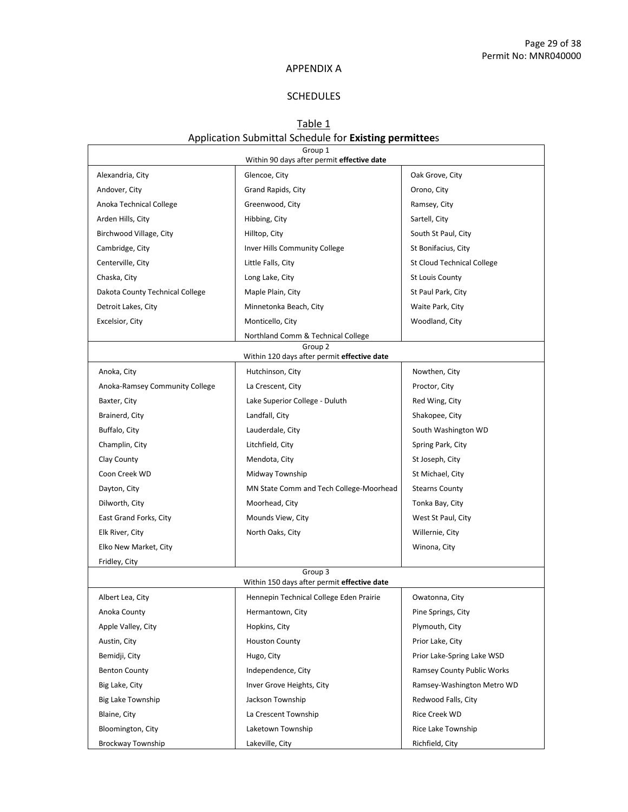## APPENDIX A

# SCHEDULES

# Table 1 Application Submittal Schedule for **Existing permittee**s

|                                               | Group 1<br>Within 90 days after permit effective date             |                                |
|-----------------------------------------------|-------------------------------------------------------------------|--------------------------------|
| Alexandria, City                              | Glencoe, City                                                     | Oak Grove, City                |
| Andover, City                                 | Grand Rapids, City                                                | Orono, City                    |
| Anoka Technical College                       | Greenwood, City                                                   | Ramsey, City                   |
| Arden Hills, City                             | Hibbing, City                                                     | Sartell, City                  |
| Birchwood Village, City                       | Hilltop, City                                                     | South St Paul, City            |
| Cambridge, City                               | Inver Hills Community College                                     | St Bonifacius, City            |
| Centerville, City                             | Little Falls, City                                                | St Cloud Technical College     |
| Chaska, City                                  | Long Lake, City                                                   | <b>St Louis County</b>         |
| Dakota County Technical College               | Maple Plain, City                                                 | St Paul Park, City             |
| Detroit Lakes, City                           | Minnetonka Beach, City                                            | Waite Park, City               |
| Excelsior, City                               | Monticello, City                                                  | Woodland, City                 |
|                                               | Northland Comm & Technical College                                |                                |
|                                               | Group <sub>2</sub><br>Within 120 days after permit effective date |                                |
|                                               | Hutchinson, City                                                  |                                |
| Anoka, City<br>Anoka-Ramsey Community College | La Crescent, City                                                 | Nowthen, City<br>Proctor, City |
| Baxter, City                                  | Lake Superior College - Duluth                                    | Red Wing, City                 |
| Brainerd, City                                | Landfall, City                                                    | Shakopee, City                 |
| Buffalo, City                                 | Lauderdale, City                                                  | South Washington WD            |
| Champlin, City                                | Litchfield, City                                                  | Spring Park, City              |
| Clay County                                   | Mendota, City                                                     | St Joseph, City                |
| Coon Creek WD                                 | Midway Township                                                   | St Michael, City               |
| Dayton, City                                  | MN State Comm and Tech College-Moorhead                           | <b>Stearns County</b>          |
| Dilworth, City                                | Moorhead, City                                                    | Tonka Bay, City                |
| East Grand Forks, City                        | Mounds View, City                                                 | West St Paul, City             |
| Elk River, City                               | North Oaks, City                                                  | Willernie, City                |
| Elko New Market, City                         |                                                                   | Winona, City                   |
| Fridley, City                                 |                                                                   |                                |
|                                               | Group 3                                                           |                                |
|                                               | Within 150 days after permit effective date                       |                                |
| Albert Lea, City                              | Hennepin Technical College Eden Prairie                           | Owatonna, City                 |
| Anoka County                                  | Hermantown, City                                                  | Pine Springs, City             |
| Apple Valley, City                            | Hopkins, City                                                     | Plymouth, City                 |
| Austin, City                                  | <b>Houston County</b>                                             | Prior Lake, City               |
| Bemidji, City                                 | Hugo, City                                                        | Prior Lake-Spring Lake WSD     |
| <b>Benton County</b>                          | Independence, City                                                | Ramsey County Public Works     |
| Big Lake, City                                | Inver Grove Heights, City                                         | Ramsey-Washington Metro WD     |
| Big Lake Township                             | Jackson Township                                                  | Redwood Falls, City            |
| Blaine, City                                  | La Crescent Township                                              | Rice Creek WD                  |
| Bloomington, City                             | Laketown Township                                                 | Rice Lake Township             |
| Brockway Township                             | Lakeville, City                                                   | Richfield, City                |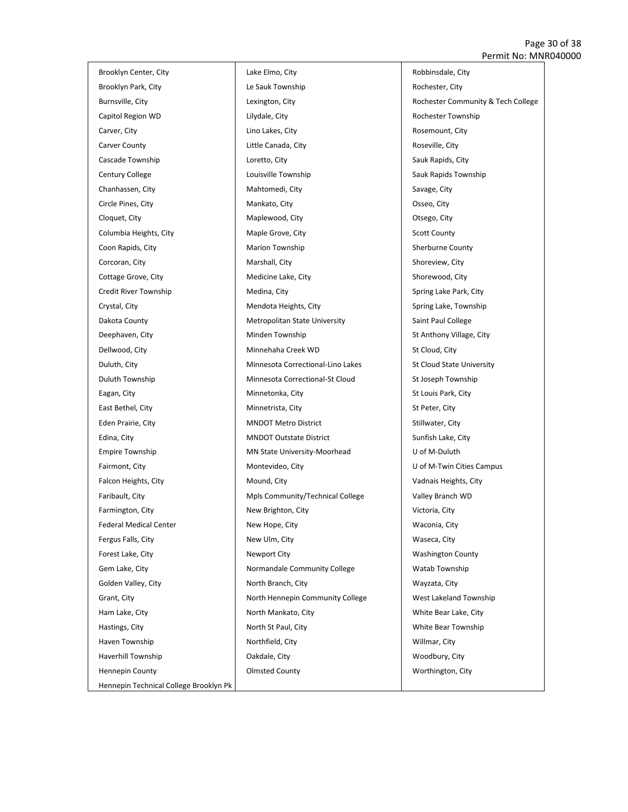#### Page 30 of 38 Permit No: MNR040000

Brooklyn Center, City Brooklyn Park, City Burnsville, City Capitol Region WD Carver, City Carver County Cascade Township Century College Chanhassen, City Circle Pines, City Cloquet, City Columbia Heights, City Coon Rapids, City Corcoran, City Cottage Grove, City Credit River Township Crystal, City Dakota County Deephaven, City Dellwood, City Duluth, City Duluth Township Eagan, City East Bethel, City Eden Prairie, City Edina, City Empire Township Fairmont, City Falcon Heights, City Faribault, City Farmington, City Federal Medical Center Fergus Falls, City Forest Lake, City Gem Lake, City Golden Valley, City Grant, City Ham Lake, City Hastings, City Haven Township Haverhill Township Hennepin County Hennepin Technical College Brooklyn Pk

Lake Elmo, City Le Sauk Township Lexington, City Lilydale, City Lino Lakes, City Little Canada, City Loretto, City Louisville Township Mahtomedi, City Mankato, City Maplewood, City Maple Grove, City Marion Township Marshall, City Medicine Lake, City Medina, City Mendota Heights, City Metropolitan State University Minden Township Minnehaha Creek WD Minnesota Correctional-Lino Lakes Minnesota Correctional-St Cloud Minnetonka, City Minnetrista, City MNDOT Metro District MNDOT Outstate District MN State University-Moorhead Montevideo, City Mound, City Mpls Community/Technical College New Brighton, City New Hope, City New Ulm, City Newport City Normandale Community College North Branch, City North Hennepin Community College North Mankato, City North St Paul, City Northfield, City Oakdale, City Olmsted County

Robbinsdale, City Rochester, City Rochester Community & Tech College Rochester Township Rosemount, City Roseville, City Sauk Rapids, City Sauk Rapids Township Savage, City Osseo, City Otsego, City Scott County Sherburne County Shoreview, City Shorewood, City Spring Lake Park, City Spring Lake, Township Saint Paul College St Anthony Village, City St Cloud, City St Cloud State University St Joseph Township St Louis Park, City St Peter, City Stillwater, City Sunfish Lake, City U of M-Duluth U of M-Twin Cities Campus Vadnais Heights, City Valley Branch WD Victoria, City Waconia, City Waseca, City Washington County Watab Township Wayzata, City West Lakeland Township White Bear Lake, City White Bear Township Willmar, City Woodbury, City Worthington, City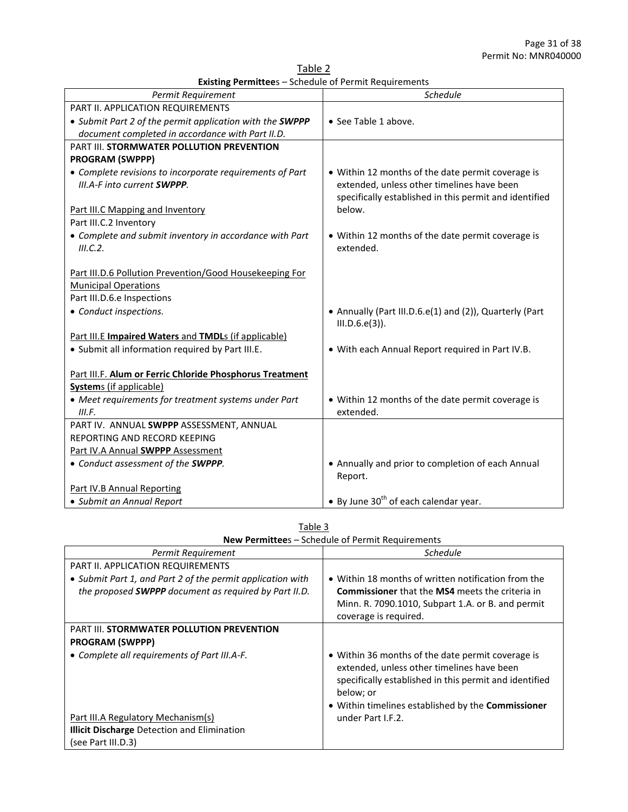Table 2 **Existing Permittee**s – Schedule of Permit Requirements

| Permit Requirement                                       | <b>Schedule</b>                                                              |
|----------------------------------------------------------|------------------------------------------------------------------------------|
| PART II. APPLICATION REQUIREMENTS                        |                                                                              |
| • Submit Part 2 of the permit application with the SWPPP | • See Table 1 above.                                                         |
| document completed in accordance with Part II.D.         |                                                                              |
| PART III. STORMWATER POLLUTION PREVENTION                |                                                                              |
| <b>PROGRAM (SWPPP)</b>                                   |                                                                              |
| • Complete revisions to incorporate requirements of Part | • Within 12 months of the date permit coverage is                            |
| III.A-F into current SWPPP.                              | extended, unless other timelines have been                                   |
|                                                          | specifically established in this permit and identified                       |
| Part III.C Mapping and Inventory                         | below.                                                                       |
| Part III.C.2 Inventory                                   |                                                                              |
| • Complete and submit inventory in accordance with Part  | • Within 12 months of the date permit coverage is                            |
| III.C.2.                                                 | extended.                                                                    |
|                                                          |                                                                              |
| Part III.D.6 Pollution Prevention/Good Housekeeping For  |                                                                              |
| <b>Municipal Operations</b>                              |                                                                              |
| Part III.D.6.e Inspections                               |                                                                              |
| • Conduct inspections.                                   | • Annually (Part III.D.6.e(1) and (2)), Quarterly (Part<br>$III.D.6.e(3)$ ). |
| Part III.E Impaired Waters and TMDLs (if applicable)     |                                                                              |
|                                                          |                                                                              |
| · Submit all information required by Part III.E.         | . With each Annual Report required in Part IV.B.                             |
| Part III.F. Alum or Ferric Chloride Phosphorus Treatment |                                                                              |
| <b>Systems</b> (if applicable)                           |                                                                              |
| • Meet requirements for treatment systems under Part     | • Within 12 months of the date permit coverage is                            |
| III.F.                                                   | extended.                                                                    |
| PART IV. ANNUAL SWPPP ASSESSMENT, ANNUAL                 |                                                                              |
| REPORTING AND RECORD KEEPING                             |                                                                              |
| Part IV.A Annual SWPPP Assessment                        |                                                                              |
| • Conduct assessment of the SWPPP.                       | • Annually and prior to completion of each Annual                            |
|                                                          | Report.                                                                      |
| <b>Part IV.B Annual Reporting</b>                        |                                                                              |
| · Submit an Annual Report                                | • By June 30 <sup>th</sup> of each calendar year.                            |

| Table 3                                                  |  |
|----------------------------------------------------------|--|
| <b>New Permittee</b> s – Schedule of Permit Requirements |  |

| Permit Requirement                                           | <b>Schedule</b>                                                                                                                                                                                                                     |
|--------------------------------------------------------------|-------------------------------------------------------------------------------------------------------------------------------------------------------------------------------------------------------------------------------------|
| PART II. APPLICATION REQUIREMENTS                            |                                                                                                                                                                                                                                     |
| • Submit Part 1, and Part 2 of the permit application with   | • Within 18 months of written notification from the                                                                                                                                                                                 |
| the proposed <b>SWPPP</b> document as required by Part II.D. | <b>Commissioner</b> that the <b>MS4</b> meets the criteria in                                                                                                                                                                       |
|                                                              | Minn. R. 7090.1010, Subpart 1.A. or B. and permit                                                                                                                                                                                   |
|                                                              | coverage is required.                                                                                                                                                                                                               |
| <b>PART III. STORMWATER POLLUTION PREVENTION</b>             |                                                                                                                                                                                                                                     |
| <b>PROGRAM (SWPPP)</b>                                       |                                                                                                                                                                                                                                     |
| • Complete all requirements of Part III.A-F.                 | • Within 36 months of the date permit coverage is<br>extended, unless other timelines have been<br>specifically established in this permit and identified<br>below; or<br>• Within timelines established by the <b>Commissioner</b> |
| <b>Part III.A Regulatory Mechanism(s)</b>                    | under Part I.F.2.                                                                                                                                                                                                                   |
| <b>Illicit Discharge Detection and Elimination</b>           |                                                                                                                                                                                                                                     |
| (see Part III.D.3)                                           |                                                                                                                                                                                                                                     |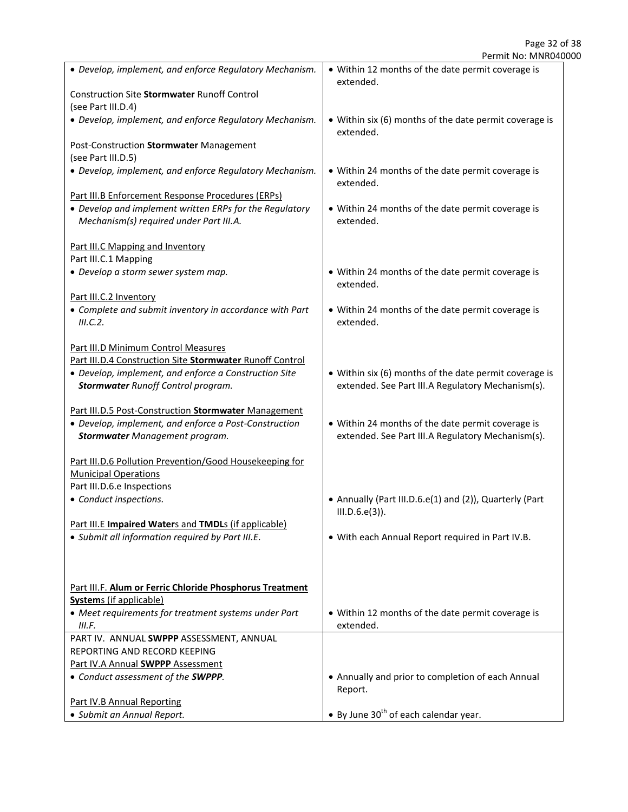| • Develop, implement, and enforce Regulatory Mechanism.   | • Within 12 months of the date permit coverage is                   |
|-----------------------------------------------------------|---------------------------------------------------------------------|
|                                                           | extended.                                                           |
| <b>Construction Site Stormwater Runoff Control</b>        |                                                                     |
| (see Part III.D.4)                                        |                                                                     |
| • Develop, implement, and enforce Regulatory Mechanism.   | • Within six (6) months of the date permit coverage is<br>extended. |
| Post-Construction Stormwater Management                   |                                                                     |
| (see Part III.D.5)                                        |                                                                     |
| • Develop, implement, and enforce Regulatory Mechanism.   | • Within 24 months of the date permit coverage is<br>extended.      |
| Part III.B Enforcement Response Procedures (ERPS)         |                                                                     |
| • Develop and implement written ERPs for the Regulatory   | • Within 24 months of the date permit coverage is                   |
| Mechanism(s) required under Part III.A.                   | extended.                                                           |
|                                                           |                                                                     |
| Part III.C Mapping and Inventory                          |                                                                     |
| Part III.C.1 Mapping                                      |                                                                     |
| • Develop a storm sewer system map.                       | • Within 24 months of the date permit coverage is                   |
|                                                           | extended.                                                           |
| Part III.C.2 Inventory                                    |                                                                     |
| • Complete and submit inventory in accordance with Part   | • Within 24 months of the date permit coverage is                   |
| III.C.2.                                                  | extended.                                                           |
|                                                           |                                                                     |
| Part III.D Minimum Control Measures                       |                                                                     |
| Part III.D.4 Construction Site Stormwater Runoff Control  |                                                                     |
| • Develop, implement, and enforce a Construction Site     | • Within six (6) months of the date permit coverage is              |
| <b>Stormwater Runoff Control program.</b>                 | extended. See Part III.A Regulatory Mechanism(s).                   |
|                                                           |                                                                     |
| Part III.D.5 Post-Construction Stormwater Management      |                                                                     |
| • Develop, implement, and enforce a Post-Construction     | • Within 24 months of the date permit coverage is                   |
|                                                           | extended. See Part III.A Regulatory Mechanism(s).                   |
| <b>Stormwater Management program.</b>                     |                                                                     |
| Part III.D.6 Pollution Prevention/Good Housekeeping for   |                                                                     |
|                                                           |                                                                     |
| <b>Municipal Operations</b><br>Part III.D.6.e Inspections |                                                                     |
|                                                           |                                                                     |
| • Conduct inspections.                                    | • Annually (Part III.D.6.e(1) and (2)), Quarterly (Part             |
|                                                           | $III.D.6.e(3)$ ).                                                   |
| Part III.E Impaired Waters and TMDLs (if applicable)      |                                                                     |
| · Submit all information required by Part III.E.          | . With each Annual Report required in Part IV.B.                    |
|                                                           |                                                                     |
|                                                           |                                                                     |
|                                                           |                                                                     |
| Part III.F. Alum or Ferric Chloride Phosphorus Treatment  |                                                                     |
| <b>Systems</b> (if applicable)                            |                                                                     |
| • Meet requirements for treatment systems under Part      | • Within 12 months of the date permit coverage is                   |
| III.F.                                                    | extended.                                                           |
| PART IV. ANNUAL SWPPP ASSESSMENT, ANNUAL                  |                                                                     |
| REPORTING AND RECORD KEEPING                              |                                                                     |
| Part IV.A Annual SWPPP Assessment                         |                                                                     |
| • Conduct assessment of the SWPPP.                        | • Annually and prior to completion of each Annual                   |
|                                                           | Report.                                                             |
| Part IV.B Annual Reporting                                |                                                                     |
| · Submit an Annual Report.                                | • By June $30th$ of each calendar year.                             |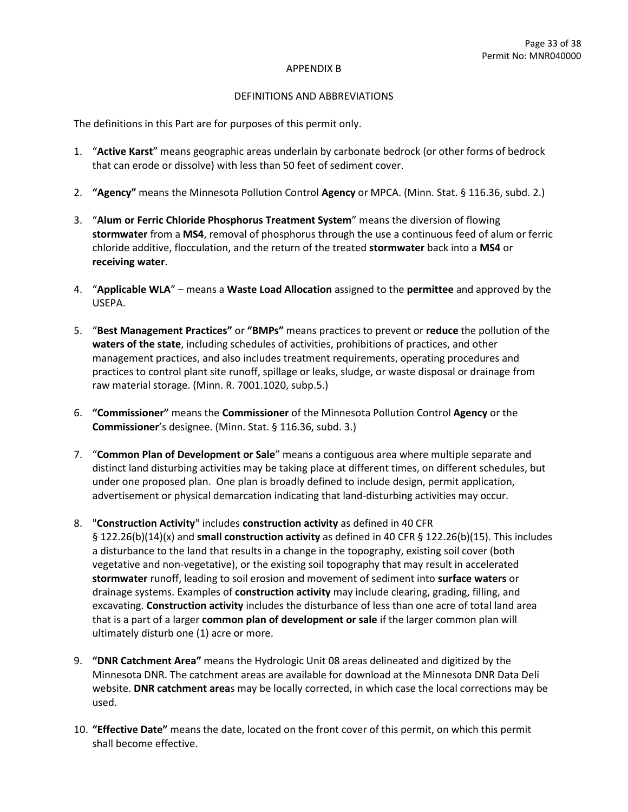#### APPENDIX B

#### DEFINITIONS AND ABBREVIATIONS

The definitions in this Part are for purposes of this permit only.

- 1. "**Active Karst**" means geographic areas underlain by carbonate bedrock (or other forms of bedrock that can erode or dissolve) with less than 50 feet of sediment cover.
- 2. **"Agency"** means the Minnesota Pollution Control **Agency** or MPCA. (Minn. Stat. § 116.36, subd. 2.)
- 3. "**Alum or Ferric Chloride Phosphorus Treatment System**" means the diversion of flowing **stormwater** from a **MS4**, removal of phosphorus through the use a continuous feed of alum or ferric chloride additive, flocculation, and the return of the treated **stormwater** back into a **MS4** or **receiving water**.
- 4. "**Applicable WLA**" means a **Waste Load Allocation** assigned to the **permittee** and approved by the USEPA.
- 5. "**Best Management Practices"** or **"BMPs"** means practices to prevent or **reduce** the pollution of the **waters of the state**, including schedules of activities, prohibitions of practices, and other management practices, and also includes treatment requirements, operating procedures and practices to control plant site runoff, spillage or leaks, sludge, or waste disposal or drainage from raw material storage. (Minn. R. 7001.1020, subp.5.)
- 6. **"Commissioner"** means the **Commissioner** of the Minnesota Pollution Control **Agency** or the **Commissioner**'s designee. (Minn. Stat. § 116.36, subd. 3.)
- 7. "**Common Plan of Development or Sale**" means a contiguous area where multiple separate and distinct land disturbing activities may be taking place at different times, on different schedules, but under one proposed plan. One plan is broadly defined to include design, permit application, advertisement or physical demarcation indicating that land-disturbing activities may occur.
- 8. "**Construction Activity**" includes **construction activity** as defined in 40 CFR § 122.26(b)(14)(x) and **small construction activity** as defined in 40 CFR § 122.26(b)(15). This includes a disturbance to the land that results in a change in the topography, existing soil cover (both vegetative and non-vegetative), or the existing soil topography that may result in accelerated **stormwater** runoff, leading to soil erosion and movement of sediment into **surface waters** or drainage systems. Examples of **construction activity** may include clearing, grading, filling, and excavating. **Construction activity** includes the disturbance of less than one acre of total land area that is a part of a larger **common plan of development or sale** if the larger common plan will ultimately disturb one (1) acre or more.
- 9. **"DNR Catchment Area"** means the Hydrologic Unit 08 areas delineated and digitized by the Minnesota DNR. The catchment areas are available for download at the Minnesota DNR Data Deli website. **DNR catchment area**s may be locally corrected, in which case the local corrections may be used.
- 10. **"Effective Date"** means the date, located on the front cover of this permit, on which this permit shall become effective.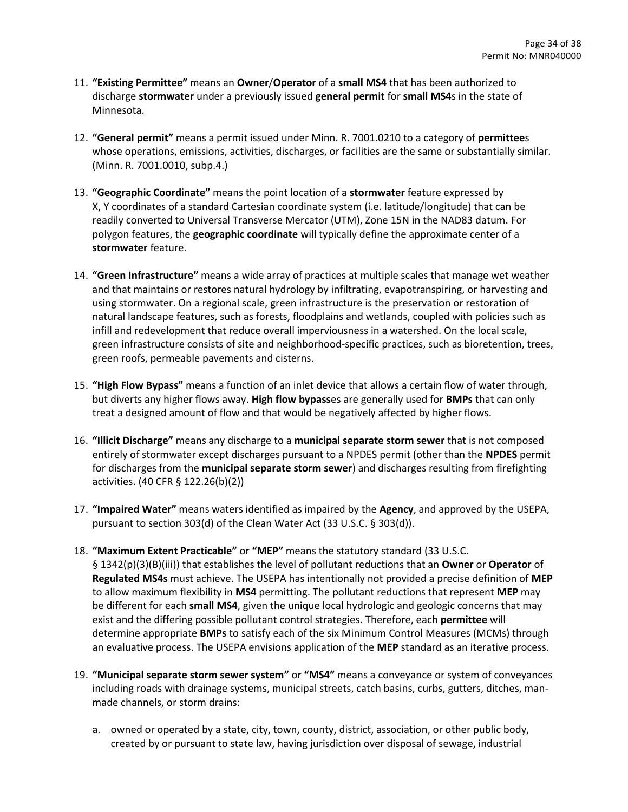- 11. **"Existing Permittee"** means an **Owner**/**Operator** of a **small MS4** that has been authorized to discharge **stormwater** under a previously issued **general permit** for **small MS4**s in the state of Minnesota.
- 12. **"General permit"** means a permit issued under Minn. R. 7001.0210 to a category of **permittee**s whose operations, emissions, activities, discharges, or facilities are the same or substantially similar. (Minn. R. 7001.0010, subp.4.)
- 13. **"Geographic Coordinate"** means the point location of a **stormwater** feature expressed by X, Y coordinates of a standard Cartesian coordinate system (i.e. latitude/longitude) that can be readily converted to Universal Transverse Mercator (UTM), Zone 15N in the NAD83 datum. For polygon features, the **geographic coordinate** will typically define the approximate center of a **stormwater** feature.
- 14. **"Green Infrastructure"** means a wide array of practices at multiple scales that manage wet weather and that maintains or restores natural hydrology by infiltrating, evapotranspiring, or harvesting and using stormwater. On a regional scale, green infrastructure is the preservation or restoration of natural landscape features, such as forests, floodplains and wetlands, coupled with policies such as infill and redevelopment that reduce overall imperviousness in a watershed. On the local scale, green infrastructure consists of site and neighborhood-specific practices, such as bioretention, trees, green roofs, permeable pavements and cisterns.
- 15. **"High Flow Bypass"** means a function of an inlet device that allows a certain flow of water through, but diverts any higher flows away. **High flow bypass**es are generally used for **BMPs** that can only treat a designed amount of flow and that would be negatively affected by higher flows.
- 16. **"Illicit Discharge"** means any discharge to a **municipal separate storm sewer** that is not composed entirely of stormwater except discharges pursuant to a NPDES permit (other than the **NPDES** permit for discharges from the **municipal separate storm sewer**) and discharges resulting from firefighting activities. (40 CFR § 122.26(b)(2))
- 17. **"Impaired Water"** means waters identified as impaired by the **Agency**, and approved by the USEPA, pursuant to section 303(d) of the Clean Water Act (33 U.S.C. § 303(d)).
- 18. **"Maximum Extent Practicable"** or **"MEP"** means the statutory standard (33 U.S.C. § 1342(p)(3)(B)(iii)) that establishes the level of pollutant reductions that an **Owner** or **Operator** of **Regulated MS4s** must achieve. The USEPA has intentionally not provided a precise definition of **MEP** to allow maximum flexibility in **MS4** permitting. The pollutant reductions that represent **MEP** may be different for each **small MS4**, given the unique local hydrologic and geologic concerns that may exist and the differing possible pollutant control strategies. Therefore, each **permittee** will determine appropriate **BMPs** to satisfy each of the six Minimum Control Measures (MCMs) through an evaluative process. The USEPA envisions application of the **MEP** standard as an iterative process.
- 19. **"Municipal separate storm sewer system"** or **"MS4"** means a conveyance or system of conveyances including roads with drainage systems, municipal streets, catch basins, curbs, gutters, ditches, manmade channels, or storm drains:
	- a. owned or operated by a state, city, town, county, district, association, or other public body, created by or pursuant to state law, having jurisdiction over disposal of sewage, industrial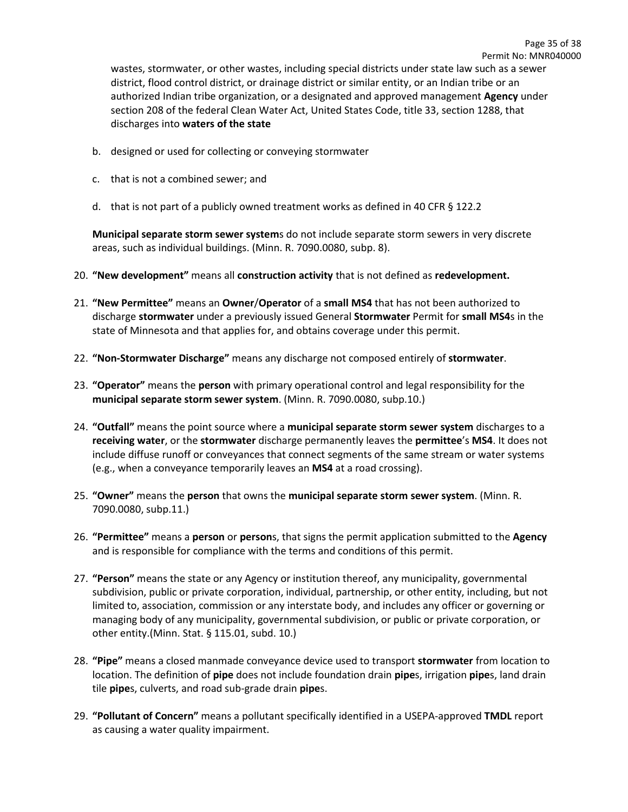wastes, stormwater, or other wastes, including special districts under state law such as a sewer district, flood control district, or drainage district or similar entity, or an Indian tribe or an authorized Indian tribe organization, or a designated and approved management **Agency** under section 208 of the federal Clean Water Act, United States Code, title 33, section 1288, that discharges into **waters of the state**

- b. designed or used for collecting or conveying stormwater
- c. that is not a combined sewer; and
- d. that is not part of a publicly owned treatment works as defined in 40 CFR § 122.2

**Municipal separate storm sewer system**s do not include separate storm sewers in very discrete areas, such as individual buildings. (Minn. R. 7090.0080, subp. 8).

- 20. **"New development"** means all **construction activity** that is not defined as **redevelopment.**
- 21. **"New Permittee"** means an **Owner**/**Operator** of a **small MS4** that has not been authorized to discharge **stormwater** under a previously issued General **Stormwater** Permit for **small MS4**s in the state of Minnesota and that applies for, and obtains coverage under this permit.
- 22. **"Non-Stormwater Discharge"** means any discharge not composed entirely of **stormwater**.
- 23. **"Operator"** means the **person** with primary operational control and legal responsibility for the **municipal separate storm sewer system**. (Minn. R. 7090.0080, subp.10.)
- 24. **"Outfall"** means the point source where a **municipal separate storm sewer system** discharges to a **receiving water**, or the **stormwater** discharge permanently leaves the **permittee**'s **MS4**. It does not include diffuse runoff or conveyances that connect segments of the same stream or water systems (e.g., when a conveyance temporarily leaves an **MS4** at a road crossing).
- 25. **"Owner"** means the **person** that owns the **municipal separate storm sewer system**. (Minn. R. 7090.0080, subp.11.)
- 26. **"Permittee"** means a **person** or **person**s, that signs the permit application submitted to the **Agency** and is responsible for compliance with the terms and conditions of this permit.
- 27. **"Person"** means the state or any Agency or institution thereof, any municipality, governmental subdivision, public or private corporation, individual, partnership, or other entity, including, but not limited to, association, commission or any interstate body, and includes any officer or governing or managing body of any municipality, governmental subdivision, or public or private corporation, or other entity.(Minn. Stat. § 115.01, subd. 10.)
- 28. **"Pipe"** means a closed manmade conveyance device used to transport **stormwater** from location to location. The definition of **pipe** does not include foundation drain **pipe**s, irrigation **pipe**s, land drain tile **pipe**s, culverts, and road sub-grade drain **pipe**s.
- 29. **"Pollutant of Concern"** means a pollutant specifically identified in a USEPA-approved **TMDL** report as causing a water quality impairment.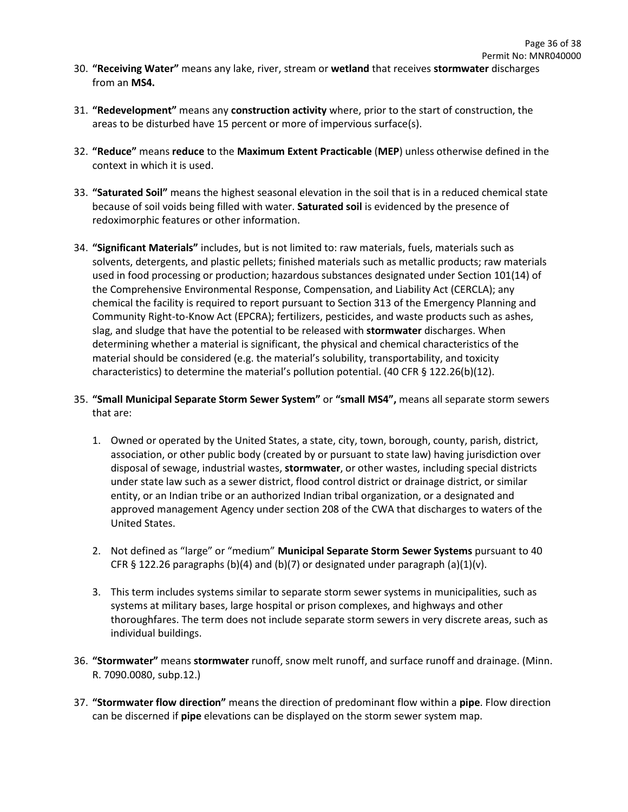- 30. **"Receiving Water"** means any lake, river, stream or **wetland** that receives **stormwater** discharges from an **MS4.**
- 31. **"Redevelopment"** means any **construction activity** where, prior to the start of construction, the areas to be disturbed have 15 percent or more of impervious surface(s).
- 32. **"Reduce"** means **reduce** to the **Maximum Extent Practicable** (**MEP**) unless otherwise defined in the context in which it is used.
- 33. **"Saturated Soil"** means the highest seasonal elevation in the soil that is in a reduced chemical state because of soil voids being filled with water. **Saturated soil** is evidenced by the presence of redoximorphic features or other information.
- 34. **"Significant Materials"** includes, but is not limited to: raw materials, fuels, materials such as solvents, detergents, and plastic pellets; finished materials such as metallic products; raw materials used in food processing or production; hazardous substances designated under Section 101(14) of the Comprehensive Environmental Response, Compensation, and Liability Act (CERCLA); any chemical the facility is required to report pursuant to Section 313 of the Emergency Planning and Community Right-to-Know Act (EPCRA); fertilizers, pesticides, and waste products such as ashes, slag, and sludge that have the potential to be released with **stormwater** discharges. When determining whether a material is significant, the physical and chemical characteristics of the material should be considered (e.g. the material's solubility, transportability, and toxicity characteristics) to determine the material's pollution potential. (40 CFR § 122.26(b)(12).
- 35. **"Small Municipal Separate Storm Sewer System"** or **"small MS4",** means all separate storm sewers that are:
	- 1. Owned or operated by the United States, a state, city, town, borough, county, parish, district, association, or other public body (created by or pursuant to state law) having jurisdiction over disposal of sewage, industrial wastes, **stormwater**, or other wastes, including special districts under state law such as a sewer district, flood control district or drainage district, or similar entity, or an Indian tribe or an authorized Indian tribal organization, or a designated and approved management Agency under section 208 of the CWA that discharges to waters of the United States.
	- 2. Not defined as "large" or "medium" **Municipal Separate Storm Sewer Systems** pursuant to 40 CFR § 122.26 paragraphs (b)(4) and (b)(7) or designated under paragraph (a)(1)(v).
	- 3. This term includes systems similar to separate storm sewer systems in municipalities, such as systems at military bases, large hospital or prison complexes, and highways and other thoroughfares. The term does not include separate storm sewers in very discrete areas, such as individual buildings.
- 36. **"Stormwater"** means **stormwater** runoff, snow melt runoff, and surface runoff and drainage. (Minn. R. 7090.0080, subp.12.)
- 37. **"Stormwater flow direction"** means the direction of predominant flow within a **pipe**. Flow direction can be discerned if **pipe** elevations can be displayed on the storm sewer system map.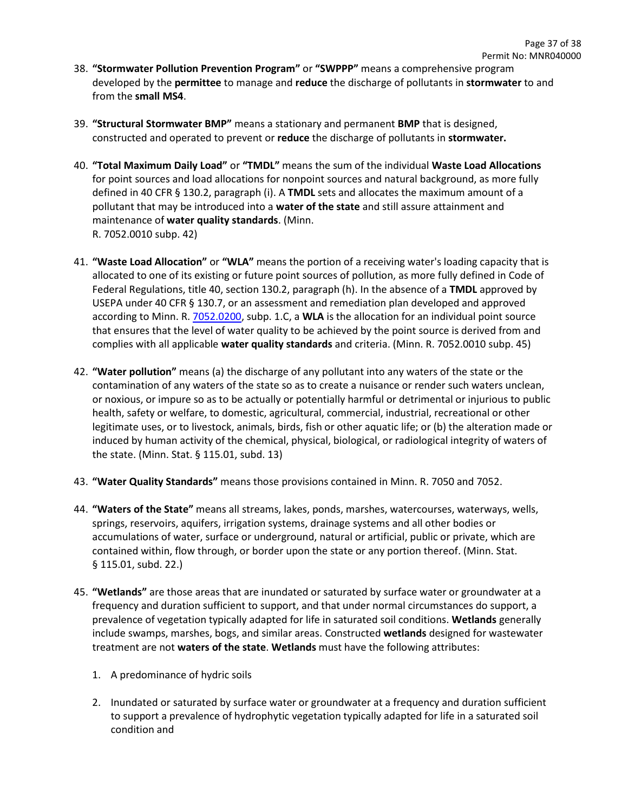- 38. **"Stormwater Pollution Prevention Program"** or **"SWPPP"** means a comprehensive program developed by the **permittee** to manage and **reduce** the discharge of pollutants in **stormwater** to and from the **small MS4**.
- 39. **"Structural Stormwater BMP"** means a stationary and permanent **BMP** that is designed, constructed and operated to prevent or **reduce** the discharge of pollutants in **stormwater.**
- 40. **"Total Maximum Daily Load"** or **"TMDL"** means the sum of the individual **Waste Load Allocations**  for point sources and load allocations for nonpoint sources and natural background, as more fully defined in 40 CFR § 130.2, paragraph (i). A **TMDL** sets and allocates the maximum amount of a pollutant that may be introduced into a **water of the state** and still assure attainment and maintenance of **water quality standards**. (Minn. R. 7052.0010 subp. 42)
- 41. **"Waste Load Allocation"** or **"WLA"** means the portion of a receiving water's loading capacity that is allocated to one of its existing or future point sources of pollution, as more fully defined in Code of Federal Regulations, title 40, section 130.2, paragraph (h). In the absence of a **TMDL** approved by USEPA under 40 CFR § 130.7, or an assessment and remediation plan developed and approved according to Minn. R. [7052.0200,](https://www.revisor.mn.gov/rules?id=7052.0200) subp. 1.C, a **WLA** is the allocation for an individual point source that ensures that the level of water quality to be achieved by the point source is derived from and complies with all applicable **water quality standards** and criteria. (Minn. R. 7052.0010 subp. 45)
- 42. **"Water pollution"** means (a) the discharge of any pollutant into any waters of the state or the contamination of any waters of the state so as to create a nuisance or render such waters unclean, or noxious, or impure so as to be actually or potentially harmful or detrimental or injurious to public health, safety or welfare, to domestic, agricultural, commercial, industrial, recreational or other legitimate uses, or to livestock, animals, birds, fish or other aquatic life; or (b) the alteration made or induced by human activity of the chemical, physical, biological, or radiological integrity of waters of the state. (Minn. Stat. § 115.01, subd. 13)
- 43. **"Water Quality Standards"** means those provisions contained in Minn. R. 7050 and 7052.
- 44. **"Waters of the State"** means all streams, lakes, ponds, marshes, watercourses, waterways, wells, springs, reservoirs, aquifers, irrigation systems, drainage systems and all other bodies or accumulations of water, surface or underground, natural or artificial, public or private, which are contained within, flow through, or border upon the state or any portion thereof. (Minn. Stat. § 115.01, subd. 22.)
- 45. **"Wetlands"** are those areas that are inundated or saturated by surface water or groundwater at a frequency and duration sufficient to support, and that under normal circumstances do support, a prevalence of vegetation typically adapted for life in saturated soil conditions. **Wetlands** generally include swamps, marshes, bogs, and similar areas. Constructed **wetlands** designed for wastewater treatment are not **waters of the state**. **Wetlands** must have the following attributes:
	- 1. A predominance of hydric soils
	- 2. Inundated or saturated by surface water or groundwater at a frequency and duration sufficient to support a prevalence of hydrophytic vegetation typically adapted for life in a saturated soil condition and